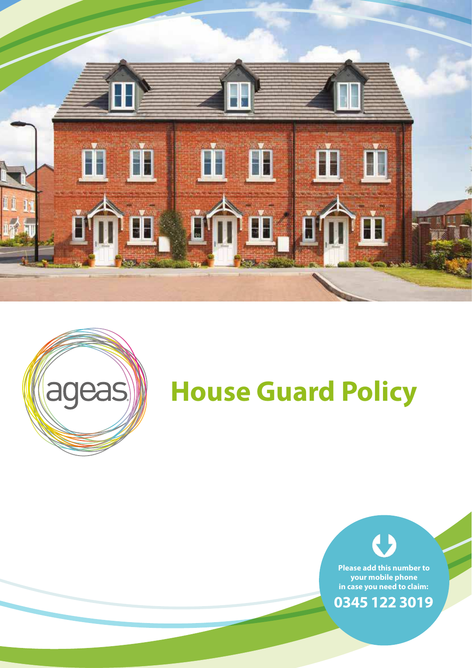



# **House Guard Policy**



O

**0345 122 3019**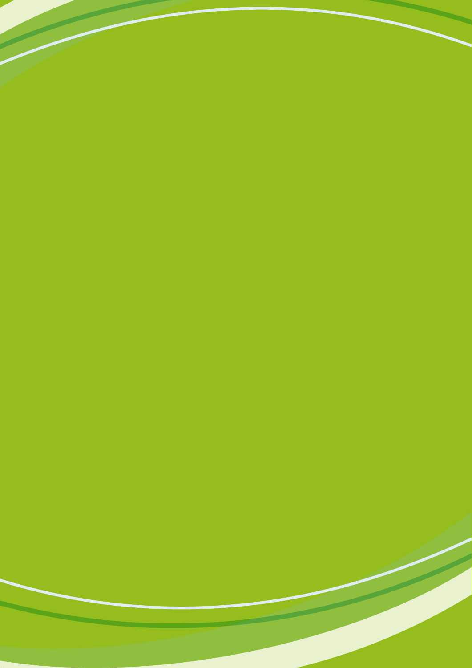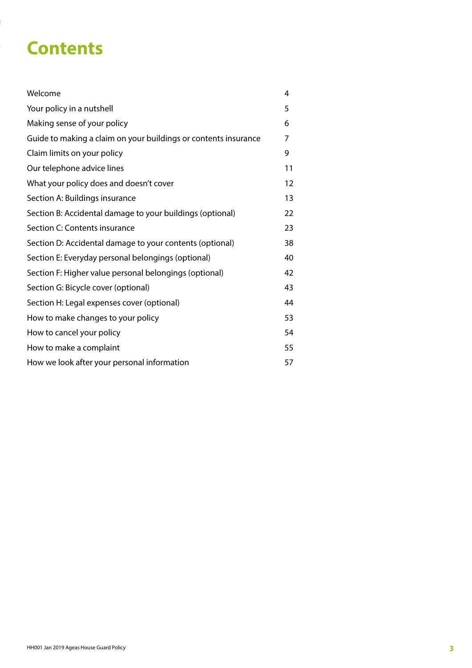### **Contents**

| Welcome                                                         | 4  |
|-----------------------------------------------------------------|----|
| Your policy in a nutshell                                       | 5  |
| Making sense of your policy                                     | 6  |
| Guide to making a claim on your buildings or contents insurance | 7  |
| Claim limits on your policy                                     | 9  |
| Our telephone advice lines                                      | 11 |
| What your policy does and doesn't cover                         | 12 |
| Section A: Buildings insurance                                  | 13 |
| Section B: Accidental damage to your buildings (optional)       | 22 |
| Section C: Contents insurance                                   | 23 |
| Section D: Accidental damage to your contents (optional)        | 38 |
| Section E: Everyday personal belongings (optional)              | 40 |
| Section F: Higher value personal belongings (optional)          | 42 |
| Section G: Bicycle cover (optional)                             | 43 |
| Section H: Legal expenses cover (optional)                      | 44 |
| How to make changes to your policy                              | 53 |
| How to cancel your policy                                       | 54 |
| How to make a complaint                                         | 55 |
| How we look after your personal information                     | 57 |

 $\overline{\phantom{a}}$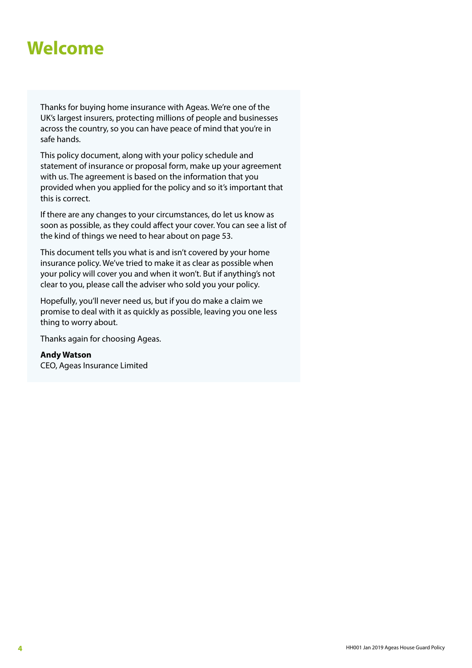### **Welcome**

Thanks for buying home insurance with Ageas. We're one of the UK's largest insurers, protecting millions of people and businesses across the country, so you can have peace of mind that you're in safe hands.

This policy document, along with your policy schedule and statement of insurance or proposal form, make up your agreement with us. The agreement is based on the information that you provided when you applied for the policy and so it's important that this is correct.

If there are any changes to your circumstances, do let us know as soon as possible, as they could afect your cover. You can see a list of the kind of things we need to hear about on page 53.

This document tells you what is and isn't covered by your home insurance policy. We've tried to make it as clear as possible when your policy will cover you and when it won't. But if anything's not clear to you, please call the adviser who sold you your policy.

Hopefully, you'll never need us, but if you do make a claim we promise to deal with it as quickly as possible, leaving you one less thing to worry about.

Thanks again for choosing Ageas.

**Andy Watson** CEO, Ageas Insurance Limited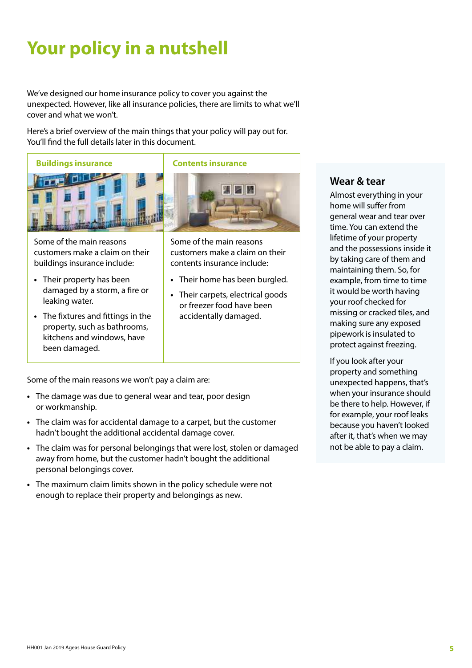## **Your policy in a nutshell**

We've designed our home insurance policy to cover you against the unexpected. However, like all insurance policies, there are limits to what we'll cover and what we won't.

Here's a brief overview of the main things that your policy will pay out for. You'll find the full details later in this document.



Some of the main reasons customers make a claim on their buildings insurance include:

- Their property has been damaged by a storm, a fire or leaking water.
- The fixtures and fittings in the property, such as bathrooms, kitchens and windows, have been damaged.

Some of the main reasons customers make a claim on their contents insurance include:

- Their home has been burgled.
- Their carpets, electrical goods or freezer food have been accidentally damaged.

Some of the main reasons we won't pay a claim are:

- The damage was due to general wear and tear, poor design or workmanship.
- The claim was for accidental damage to a carpet, but the customer hadn't bought the additional accidental damage cover.
- The claim was for personal belongings that were lost, stolen or damaged away from home, but the customer hadn't bought the additional personal belongings cover.
- The maximum claim limits shown in the policy schedule were not enough to replace their property and belongings as new.

#### **Wear & tear**

Almost everything in your home will suffer from general wear and tear over time. You can extend the lifetime of your property and the possessions inside it by taking care of them and maintaining them. So, for example, from time to time it would be worth having your roof checked for missing or cracked tiles, and making sure any exposed pipework is insulated to protect against freezing.

If you look after your property and something unexpected happens, that's when your insurance should be there to help. However, if for example, your roof leaks because you haven't looked after it, that's when we may not be able to pay a claim.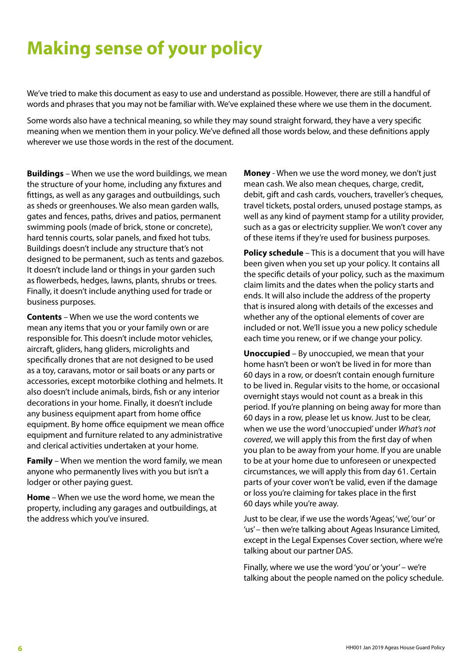## **Making sense of your policy**

We've tried to make this document as easy to use and understand as possible. However, there are still a handful of words and phrases that you may not be familiar with. We've explained these where we use them in the document.

Some words also have a technical meaning, so while they may sound straight forward, they have a very speciic meaning when we mention them in your policy. We've defined all those words below, and these definitions apply wherever we use those words in the rest of the document.

**Buildings** – When we use the word buildings, we mean the structure of your home, including any fixtures and fittings, as well as any garages and outbuildings, such as sheds or greenhouses. We also mean garden walls, gates and fences, paths, drives and patios, permanent swimming pools (made of brick, stone or concrete), hard tennis courts, solar panels, and fixed hot tubs. Buildings doesn't include any structure that's not designed to be permanent, such as tents and gazebos. It doesn't include land or things in your garden such as flowerbeds, hedges, lawns, plants, shrubs or trees. Finally, it doesn't include anything used for trade or business purposes.

**Contents** – When we use the word contents we mean any items that you or your family own or are responsible for. This doesn't include motor vehicles, aircraft, gliders, hang gliders, microlights and specifically drones that are not designed to be used as a toy, caravans, motor or sail boats or any parts or accessories, except motorbike clothing and helmets. It also doesn't include animals, birds, fish or any interior decorations in your home. Finally, it doesn't include any business equipment apart from home office equipment. By home office equipment we mean office equipment and furniture related to any administrative and clerical activities undertaken at your home.

**Family** – When we mention the word family, we mean anyone who permanently lives with you but isn't a lodger or other paying guest.

**Home** – When we use the word home, we mean the property, including any garages and outbuildings, at the address which you've insured.

**Money** - When we use the word money, we don't just mean cash. We also mean cheques, charge, credit, debit, gift and cash cards, vouchers, traveller's cheques, travel tickets, postal orders, unused postage stamps, as well as any kind of payment stamp for a utility provider, such as a gas or electricity supplier. We won't cover any of these items if they're used for business purposes.

**Policy schedule** – This is a document that you will have been given when you set up your policy. It contains all the specific details of your policy, such as the maximum claim limits and the dates when the policy starts and ends. It will also include the address of the property that is insured along with details of the excesses and whether any of the optional elements of cover are included or not. We'll issue you a new policy schedule each time you renew, or if we change your policy.

**Unoccupied** – By unoccupied, we mean that your home hasn't been or won't be lived in for more than 60 days in a row, or doesn't contain enough furniture to be lived in. Regular visits to the home, or occasional overnight stays would not count as a break in this period. If you're planning on being away for more than 60 days in a row, please let us know. Just to be clear, when we use the word 'unoccupied' under What's not covered, we will apply this from the first day of when you plan to be away from your home. If you are unable to be at your home due to unforeseen or unexpected circumstances, we will apply this from day 61. Certain parts of your cover won't be valid, even if the damage or loss you're claiming for takes place in the first 60 days while you're away.

Just to be clear, if we use the words 'Ageas', 'we', 'our' or 'us' – then we're talking about Ageas Insurance Limited, except in the Legal Expenses Cover section, where we're talking about our partner DAS.

Finally, where we use the word 'you' or 'your' – we're talking about the people named on the policy schedule.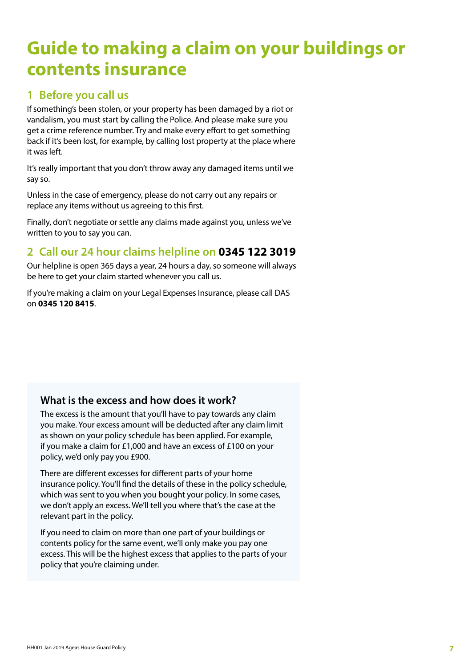## **Guide to making a claim on your buildings or contents insurance**

#### **1 Before you call us**

If something's been stolen, or your property has been damaged by a riot or vandalism, you must start by calling the Police. And please make sure you get a crime reference number. Try and make every effort to get something back if it's been lost, for example, by calling lost property at the place where it was left.

It's really important that you don't throw away any damaged items until we say so.

Unless in the case of emergency, please do not carry out any repairs or replace any items without us agreeing to this first.

Finally, don't negotiate or settle any claims made against you, unless we've written to you to say you can.

#### **2 Call our 24 hour claims helpline on 0345 122 3019**

Our helpline is open 365 days a year, 24 hours a day, so someone will always be here to get your claim started whenever you call us.

If you're making a claim on your Legal Expenses Insurance, please call DAS on **0345 120 8415**.

#### **What is the excess and how does it work?**

The excess is the amount that you'll have to pay towards any claim you make. Your excess amount will be deducted after any claim limit as shown on your policy schedule has been applied. For example, if you make a claim for £1,000 and have an excess of £100 on your policy, we'd only pay you £900.

There are diferent excesses for diferent parts of your home insurance policy. You'll find the details of these in the policy schedule, which was sent to you when you bought your policy. In some cases, we don't apply an excess. We'll tell you where that's the case at the relevant part in the policy.

If you need to claim on more than one part of your buildings or contents policy for the same event, we'll only make you pay one excess. This will be the highest excess that applies to the parts of your policy that you're claiming under.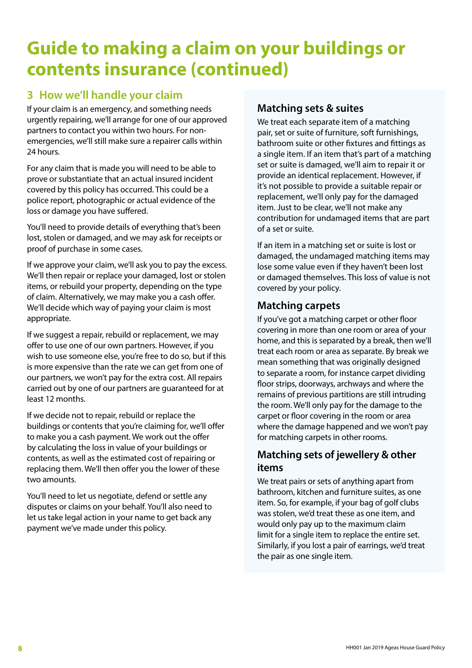## **Guide to making a claim on your buildings or contents insurance (continued)**

### **3 How we'll handle your claim**

If your claim is an emergency, and something needs urgently repairing, we'll arrange for one of our approved partners to contact you within two hours. For nonemergencies, we'll still make sure a repairer calls within 24 hours.

For any claim that is made you will need to be able to prove or substantiate that an actual insured incident covered by this policy has occurred. This could be a police report, photographic or actual evidence of the loss or damage you have sufered.

You'll need to provide details of everything that's been lost, stolen or damaged, and we may ask for receipts or proof of purchase in some cases.

If we approve your claim, we'll ask you to pay the excess. We'll then repair or replace your damaged, lost or stolen items, or rebuild your property, depending on the type of claim. Alternatively, we may make you a cash offer. We'll decide which way of paying your claim is most appropriate.

If we suggest a repair, rebuild or replacement, we may offer to use one of our own partners. However, if you wish to use someone else, you're free to do so, but if this is more expensive than the rate we can get from one of our partners, we won't pay for the extra cost. All repairs carried out by one of our partners are guaranteed for at least 12 months.

If we decide not to repair, rebuild or replace the buildings or contents that you're claiming for, we'll offer to make you a cash payment. We work out the offer by calculating the loss in value of your buildings or contents, as well as the estimated cost of repairing or replacing them. We'll then offer you the lower of these two amounts.

You'll need to let us negotiate, defend or settle any disputes or claims on your behalf. You'll also need to let us take legal action in your name to get back any payment we've made under this policy.

#### **Matching sets & suites**

We treat each separate item of a matching pair, set or suite of furniture, soft furnishings, bathroom suite or other fixtures and fittings as a single item. If an item that's part of a matching set or suite is damaged, we'll aim to repair it or provide an identical replacement. However, if it's not possible to provide a suitable repair or replacement, we'll only pay for the damaged item. Just to be clear, we'll not make any contribution for undamaged items that are part of a set or suite.

If an item in a matching set or suite is lost or damaged, the undamaged matching items may lose some value even if they haven't been lost or damaged themselves. This loss of value is not covered by your policy.

#### **Matching carpets**

If you've got a matching carpet or other floor covering in more than one room or area of your home, and this is separated by a break, then we'll treat each room or area as separate. By break we mean something that was originally designed to separate a room, for instance carpet dividing floor strips, doorways, archways and where the remains of previous partitions are still intruding the room. We'll only pay for the damage to the carpet or floor covering in the room or area where the damage happened and we won't pay for matching carpets in other rooms.

#### **Matching sets of jewellery & other items**

We treat pairs or sets of anything apart from bathroom, kitchen and furniture suites, as one item. So, for example, if your bag of golf clubs was stolen, we'd treat these as one item, and would only pay up to the maximum claim limit for a single item to replace the entire set. Similarly, if you lost a pair of earrings, we'd treat the pair as one single item.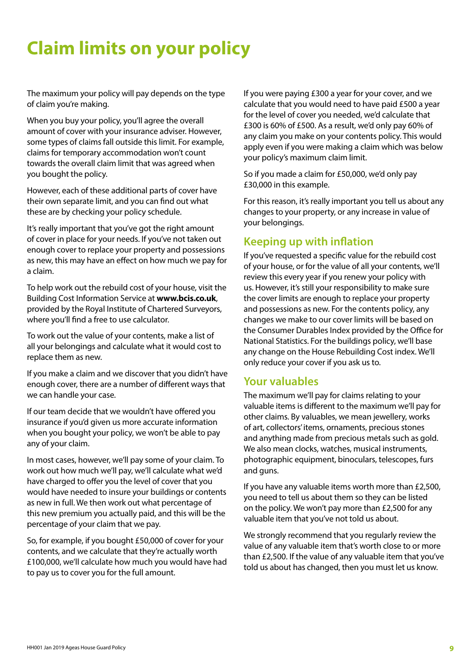## **Claim limits on your policy**

The maximum your policy will pay depends on the type of claim you're making.

When you buy your policy, you'll agree the overall amount of cover with your insurance adviser. However, some types of claims fall outside this limit. For example, claims for temporary accommodation won't count towards the overall claim limit that was agreed when you bought the policy.

However, each of these additional parts of cover have their own separate limit, and you can find out what these are by checking your policy schedule.

It's really important that you've got the right amount of cover in place for your needs. If you've not taken out enough cover to replace your property and possessions as new, this may have an efect on how much we pay for a claim.

To help work out the rebuild cost of your house, visit the Building Cost Information Service at **www.bcis.co.uk**, provided by the Royal Institute of Chartered Surveyors, where you'll find a free to use calculator.

To work out the value of your contents, make a list of all your belongings and calculate what it would cost to replace them as new.

If you make a claim and we discover that you didn't have enough cover, there are a number of diferent ways that we can handle your case.

If our team decide that we wouldn't have offered you insurance if you'd given us more accurate information when you bought your policy, we won't be able to pay any of your claim.

In most cases, however, we'll pay some of your claim. To work out how much we'll pay, we'll calculate what we'd have charged to offer you the level of cover that you would have needed to insure your buildings or contents as new in full. We then work out what percentage of this new premium you actually paid, and this will be the percentage of your claim that we pay.

So, for example, if you bought £50,000 of cover for your contents, and we calculate that they're actually worth £100,000, we'll calculate how much you would have had to pay us to cover you for the full amount.

If you were paying £300 a year for your cover, and we calculate that you would need to have paid £500 a year for the level of cover you needed, we'd calculate that £300 is 60% of £500. As a result, we'd only pay 60% of any claim you make on your contents policy. This would apply even if you were making a claim which was below your policy's maximum claim limit.

So if you made a claim for £50,000, we'd only pay £30,000 in this example.

For this reason, it's really important you tell us about any changes to your property, or any increase in value of your belongings.

#### **Keeping up with inlation**

If you've requested a specific value for the rebuild cost of your house, or for the value of all your contents, we'll review this every year if you renew your policy with us. However, it's still your responsibility to make sure the cover limits are enough to replace your property and possessions as new. For the contents policy, any changes we make to our cover limits will be based on the Consumer Durables Index provided by the Office for National Statistics. For the buildings policy, we'll base any change on the House Rebuilding Cost index. We'll only reduce your cover if you ask us to.

#### **Your valuables**

The maximum we'll pay for claims relating to your valuable items is diferent to the maximum we'll pay for other claims. By valuables, we mean jewellery, works of art, collectors' items, ornaments, precious stones and anything made from precious metals such as gold. We also mean clocks, watches, musical instruments, photographic equipment, binoculars, telescopes, furs and guns.

If you have any valuable items worth more than £2,500, you need to tell us about them so they can be listed on the policy. We won't pay more than £2,500 for any valuable item that you've not told us about.

We strongly recommend that you regularly review the value of any valuable item that's worth close to or more than £2,500. If the value of any valuable item that you've told us about has changed, then you must let us know.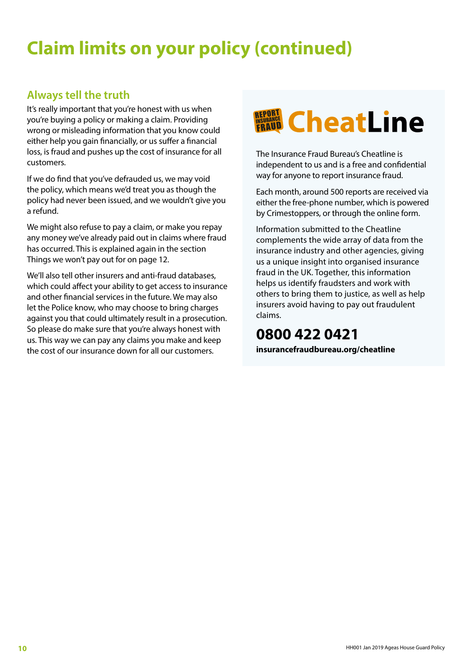## **Claim limits on your policy (continued)**

### **Always tell the truth**

It's really important that you're honest with us when you're buying a policy or making a claim. Providing wrong or misleading information that you know could either help you gain financially, or us suffer a financial loss, is fraud and pushes up the cost of insurance for all customers.

If we do find that you've defrauded us, we may void the policy, which means we'd treat you as though the policy had never been issued, and we wouldn't give you a refund.

We might also refuse to pay a claim, or make you repay any money we've already paid out in claims where fraud has occurred. This is explained again in the section Things we won't pay out for on page 12.

We'll also tell other insurers and anti-fraud databases, which could afect your ability to get access to insurance and other financial services in the future. We may also let the Police know, who may choose to bring charges against you that could ultimately result in a prosecution. So please do make sure that you're always honest with us. This way we can pay any claims you make and keep the cost of our insurance down for all our customers.

# 

The Insurance Fraud Bureau's Cheatline is independent to us and is a free and confidential way for anyone to report insurance fraud.

Each month, around 500 reports are received via either the free-phone number, which is powered by Crimestoppers, or through the online form.

Information submitted to the Cheatline complements the wide array of data from the insurance industry and other agencies, giving us a unique insight into organised insurance fraud in the UK. Together, this information helps us identify fraudsters and work with others to bring them to justice, as well as help insurers avoid having to pay out fraudulent claims.

### **0800 422 0421**

**insurancefraudbureau.org/cheatline**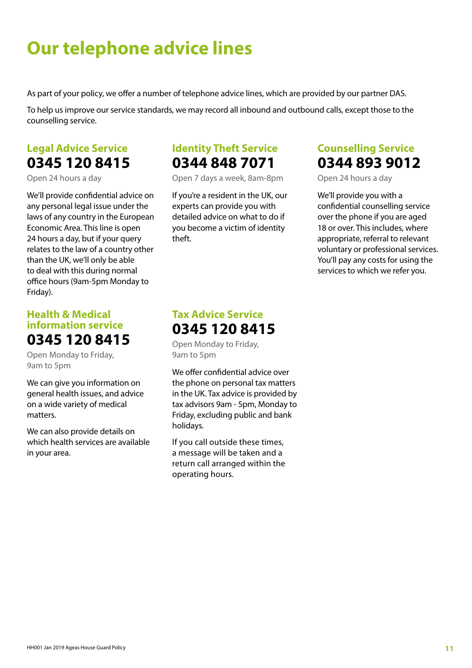## **Our telephone advice lines**

As part of your policy, we ofer a number of telephone advice lines, which are provided by our partner DAS.

To help us improve our service standards, we may record all inbound and outbound calls, except those to the counselling service.

### **Legal Advice Service 0345 120 8415**

Open 24 hours a day

We'll provide confidential advice on any personal legal issue under the laws of any country in the European Economic Area. This line is open 24 hours a day, but if your query relates to the law of a country other than the UK, we'll only be able to deal with this during normal office hours (9am-5pm Monday to Friday).

#### **Health & Medical information service 0345 120 8415**

Open Monday to Friday, 9am to 5pm

We can give you information on general health issues, and advice on a wide variety of medical matters.

We can also provide details on which health services are available in your area.

### **Identity Theft Service 0344 848 7071**

Open 7 days a week, 8am-8pm

If you're a resident in the UK, our experts can provide you with detailed advice on what to do if you become a victim of identity theft.

### **Counselling Service 0344 893 9012**

Open 24 hours a day

We'll provide you with a confidential counselling service over the phone if you are aged 18 or over. This includes, where appropriate, referral to relevant voluntary or professional services. You'll pay any costs for using the services to which we refer you.

### **Tax Advice Service 0345 120 8415**

Open Monday to Friday, 9am to 5pm

We offer confidential advice over the phone on personal tax matters in the UK. Tax advice is provided by tax advisors 9am - 5pm, Monday to Friday, excluding public and bank holidays.

If you call outside these times, a message will be taken and a return call arranged within the operating hours.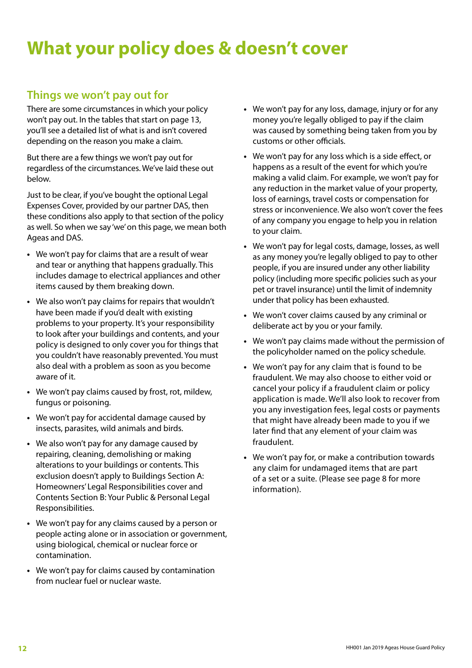## **What your policy does & doesn't cover**

#### **Things we won't pay out for**

There are some circumstances in which your policy won't pay out. In the tables that start on page 13, you'll see a detailed list of what is and isn't covered depending on the reason you make a claim.

But there are a few things we won't pay out for regardless of the circumstances. We've laid these out below.

Just to be clear, if you've bought the optional Legal Expenses Cover, provided by our partner DAS, then these conditions also apply to that section of the policy as well. So when we say 'we' on this page, we mean both Ageas and DAS.

- We won't pay for claims that are a result of wear and tear or anything that happens gradually. This includes damage to electrical appliances and other items caused by them breaking down.
- We also won't pay claims for repairs that wouldn't have been made if you'd dealt with existing problems to your property. It's your responsibility to look after your buildings and contents, and your policy is designed to only cover you for things that you couldn't have reasonably prevented. You must also deal with a problem as soon as you become aware of it.
- We won't pay claims caused by frost, rot, mildew, fungus or poisoning.
- We won't pay for accidental damage caused by insects, parasites, wild animals and birds.
- We also won't pay for any damage caused by repairing, cleaning, demolishing or making alterations to your buildings or contents. This exclusion doesn't apply to Buildings Section A: Homeowners' Legal Responsibilities cover and Contents Section B: Your Public & Personal Legal Responsibilities.
- We won't pay for any claims caused by a person or people acting alone or in association or government, using biological, chemical or nuclear force or contamination.
- We won't pay for claims caused by contamination from nuclear fuel or nuclear waste.
- We won't pay for any loss, damage, injury or for any money you're legally obliged to pay if the claim was caused by something being taken from you by customs or other officials.
- We won't pay for any loss which is a side efect, or happens as a result of the event for which you're making a valid claim. For example, we won't pay for any reduction in the market value of your property, loss of earnings, travel costs or compensation for stress or inconvenience. We also won't cover the fees of any company you engage to help you in relation to your claim.
- We won't pay for legal costs, damage, losses, as well as any money you're legally obliged to pay to other people, if you are insured under any other liability policy (including more specific policies such as your pet or travel insurance) until the limit of indemnity under that policy has been exhausted.
- We won't cover claims caused by any criminal or deliberate act by you or your family.
- We won't pay claims made without the permission of the policyholder named on the policy schedule.
- We won't pay for any claim that is found to be fraudulent. We may also choose to either void or cancel your policy if a fraudulent claim or policy application is made. We'll also look to recover from you any investigation fees, legal costs or payments that might have already been made to you if we later find that any element of your claim was fraudulent.
- We won't pay for, or make a contribution towards any claim for undamaged items that are part of a set or a suite. (Please see page 8 for more information).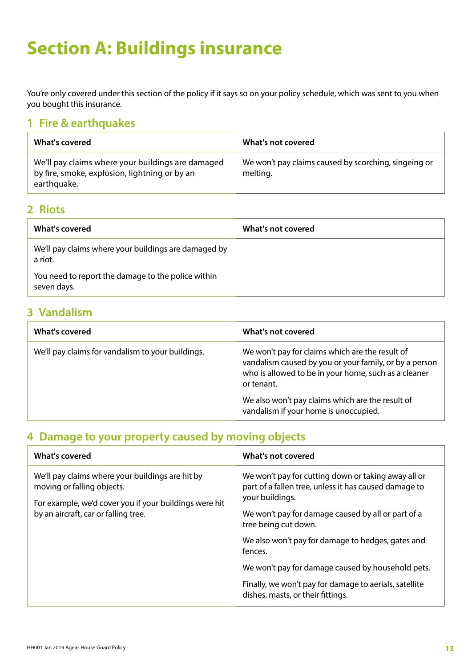## **Section A: Buildings insurance**

You're only covered under this section of the policy if it says so on your policy schedule, which was sent to you when you bought this insurance.

#### **1 Fire & earthquakes**

| What's covered                                                                                                    | What's not covered                                               |
|-------------------------------------------------------------------------------------------------------------------|------------------------------------------------------------------|
| We'll pay claims where your buildings are damaged<br>by fire, smoke, explosion, lightning or by an<br>earthquake. | We won't pay claims caused by scorching, singeing or<br>melting. |

#### **2 Riots**

| What's covered                                                    | What's not covered |
|-------------------------------------------------------------------|--------------------|
| We'll pay claims where your buildings are damaged by<br>a riot.   |                    |
| You need to report the damage to the police within<br>seven days. |                    |

### **3 Vandalism**

| What's covered                                    | What's not covered                                                                                                                                                                                                                                                           |
|---------------------------------------------------|------------------------------------------------------------------------------------------------------------------------------------------------------------------------------------------------------------------------------------------------------------------------------|
| We'll pay claims for vandalism to your buildings. | We won't pay for claims which are the result of<br>vandalism caused by you or your family, or by a person<br>who is allowed to be in your home, such as a cleaner<br>or tenant.<br>We also won't pay claims which are the result of<br>vandalism if your home is unoccupied. |

### **4 Damage to your property caused by moving objects**

| What's covered                                                                                 | What's not covered                                                                                                              |
|------------------------------------------------------------------------------------------------|---------------------------------------------------------------------------------------------------------------------------------|
| We'll pay claims where your buildings are hit by<br>moving or falling objects.                 | We won't pay for cutting down or taking away all or<br>part of a fallen tree, unless it has caused damage to<br>your buildings. |
| For example, we'd cover you if your buildings were hit<br>by an aircraft, car or falling tree. | We won't pay for damage caused by all or part of a<br>tree being cut down.                                                      |
|                                                                                                | We also won't pay for damage to hedges, gates and<br>fences.                                                                    |
|                                                                                                | We won't pay for damage caused by household pets.                                                                               |
|                                                                                                | Finally, we won't pay for damage to aerials, satellite<br>dishes, masts, or their fittings.                                     |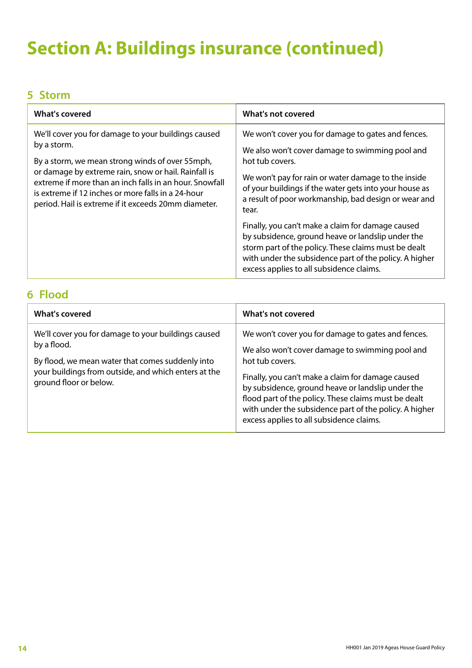#### **5 Storm**

| <b>What's covered</b>                                                                                                                                                                                                                                                                                                                                  | What's not covered                                                                                                                                                                                                                                                                                         |
|--------------------------------------------------------------------------------------------------------------------------------------------------------------------------------------------------------------------------------------------------------------------------------------------------------------------------------------------------------|------------------------------------------------------------------------------------------------------------------------------------------------------------------------------------------------------------------------------------------------------------------------------------------------------------|
| We'll cover you for damage to your buildings caused<br>by a storm.<br>By a storm, we mean strong winds of over 55mph,<br>or damage by extreme rain, snow or hail. Rainfall is<br>extreme if more than an inch falls in an hour. Snowfall<br>is extreme if 12 inches or more falls in a 24-hour<br>period. Hail is extreme if it exceeds 20mm diameter. | We won't cover you for damage to gates and fences.<br>We also won't cover damage to swimming pool and<br>hot tub covers.<br>We won't pay for rain or water damage to the inside<br>of your buildings if the water gets into your house as<br>a result of poor workmanship, bad design or wear and<br>tear. |
|                                                                                                                                                                                                                                                                                                                                                        | Finally, you can't make a claim for damage caused<br>by subsidence, ground heave or landslip under the<br>storm part of the policy. These claims must be dealt<br>with under the subsidence part of the policy. A higher<br>excess applies to all subsidence claims.                                       |

#### **6 Flood**

| What's covered                                                                                                                                                                                           | What's not covered                                                                                                                                                                                                                                                                                                                                                                               |
|----------------------------------------------------------------------------------------------------------------------------------------------------------------------------------------------------------|--------------------------------------------------------------------------------------------------------------------------------------------------------------------------------------------------------------------------------------------------------------------------------------------------------------------------------------------------------------------------------------------------|
| We'll cover you for damage to your buildings caused<br>by a flood.<br>By flood, we mean water that comes suddenly into<br>your buildings from outside, and which enters at the<br>ground floor or below. | We won't cover you for damage to gates and fences.<br>We also won't cover damage to swimming pool and<br>hot tub covers.<br>Finally, you can't make a claim for damage caused<br>by subsidence, ground heave or landslip under the<br>flood part of the policy. These claims must be dealt<br>with under the subsidence part of the policy. A higher<br>excess applies to all subsidence claims. |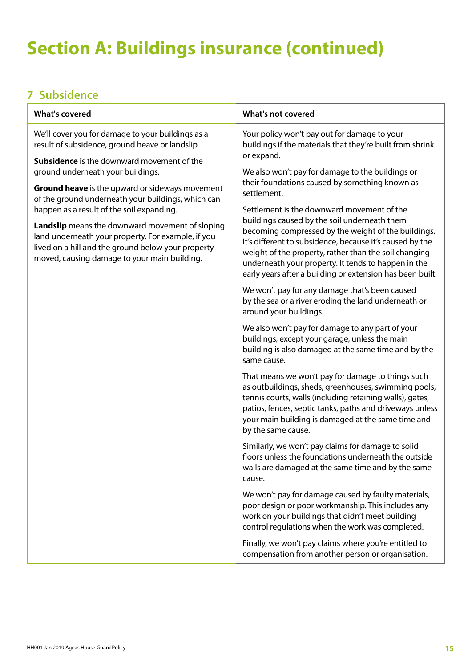### **7 Subsidence**

| <b>What's covered</b>                                                                                                                                                                                              | <b>What's not covered</b>                                                                                                                                                                                                                                                                                     |
|--------------------------------------------------------------------------------------------------------------------------------------------------------------------------------------------------------------------|---------------------------------------------------------------------------------------------------------------------------------------------------------------------------------------------------------------------------------------------------------------------------------------------------------------|
| We'll cover you for damage to your buildings as a<br>result of subsidence, ground heave or landslip.                                                                                                               | Your policy won't pay out for damage to your<br>buildings if the materials that they're built from shrink<br>or expand.                                                                                                                                                                                       |
| <b>Subsidence</b> is the downward movement of the<br>ground underneath your buildings.                                                                                                                             | We also won't pay for damage to the buildings or                                                                                                                                                                                                                                                              |
| Ground heave is the upward or sideways movement<br>of the ground underneath your buildings, which can                                                                                                              | their foundations caused by something known as<br>settlement.                                                                                                                                                                                                                                                 |
| happen as a result of the soil expanding.                                                                                                                                                                          | Settlement is the downward movement of the<br>buildings caused by the soil underneath them                                                                                                                                                                                                                    |
| <b>Landslip</b> means the downward movement of sloping<br>land underneath your property. For example, if you<br>lived on a hill and the ground below your property<br>moved, causing damage to your main building. | becoming compressed by the weight of the buildings.<br>It's different to subsidence, because it's caused by the<br>weight of the property, rather than the soil changing<br>underneath your property. It tends to happen in the<br>early years after a building or extension has been built.                  |
|                                                                                                                                                                                                                    | We won't pay for any damage that's been caused<br>by the sea or a river eroding the land underneath or<br>around your buildings.                                                                                                                                                                              |
|                                                                                                                                                                                                                    | We also won't pay for damage to any part of your<br>buildings, except your garage, unless the main<br>building is also damaged at the same time and by the<br>same cause.                                                                                                                                     |
|                                                                                                                                                                                                                    | That means we won't pay for damage to things such<br>as outbuildings, sheds, greenhouses, swimming pools,<br>tennis courts, walls (including retaining walls), gates,<br>patios, fences, septic tanks, paths and driveways unless<br>your main building is damaged at the same time and<br>by the same cause. |
|                                                                                                                                                                                                                    | Similarly, we won't pay claims for damage to solid<br>floors unless the foundations underneath the outside<br>walls are damaged at the same time and by the same<br>cause.                                                                                                                                    |
|                                                                                                                                                                                                                    | We won't pay for damage caused by faulty materials,<br>poor design or poor workmanship. This includes any<br>work on your buildings that didn't meet building<br>control regulations when the work was completed.                                                                                             |
|                                                                                                                                                                                                                    | Finally, we won't pay claims where you're entitled to<br>compensation from another person or organisation.                                                                                                                                                                                                    |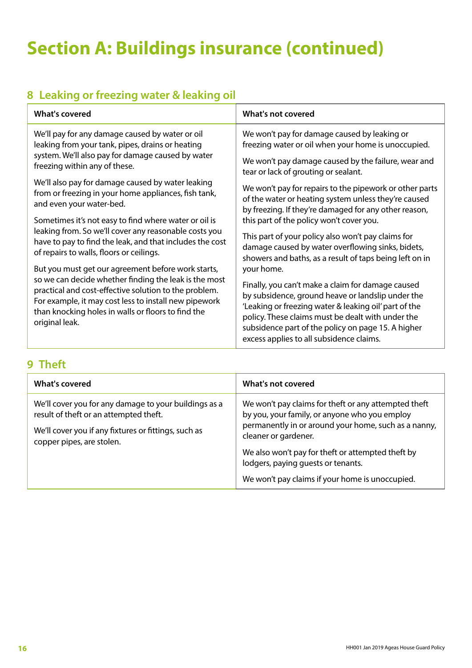### **8 Leaking or freezing water & leaking oil**

| <b>What's covered</b>                                                                                                                                                                                                                                                                                 | <b>What's not covered</b>                                                                                                                                                                                                                                                                                                            |
|-------------------------------------------------------------------------------------------------------------------------------------------------------------------------------------------------------------------------------------------------------------------------------------------------------|--------------------------------------------------------------------------------------------------------------------------------------------------------------------------------------------------------------------------------------------------------------------------------------------------------------------------------------|
| We'll pay for any damage caused by water or oil                                                                                                                                                                                                                                                       | We won't pay for damage caused by leaking or                                                                                                                                                                                                                                                                                         |
| leaking from your tank, pipes, drains or heating                                                                                                                                                                                                                                                      | freezing water or oil when your home is unoccupied.                                                                                                                                                                                                                                                                                  |
| system. We'll also pay for damage caused by water                                                                                                                                                                                                                                                     | We won't pay damage caused by the failure, wear and                                                                                                                                                                                                                                                                                  |
| freezing within any of these.                                                                                                                                                                                                                                                                         | tear or lack of grouting or sealant.                                                                                                                                                                                                                                                                                                 |
| We'll also pay for damage caused by water leaking                                                                                                                                                                                                                                                     | We won't pay for repairs to the pipework or other parts                                                                                                                                                                                                                                                                              |
| from or freezing in your home appliances, fish tank,                                                                                                                                                                                                                                                  | of the water or heating system unless they're caused                                                                                                                                                                                                                                                                                 |
| and even your water-bed.                                                                                                                                                                                                                                                                              | by freezing. If they're damaged for any other reason,                                                                                                                                                                                                                                                                                |
| Sometimes it's not easy to find where water or oil is                                                                                                                                                                                                                                                 | this part of the policy won't cover you.                                                                                                                                                                                                                                                                                             |
| leaking from. So we'll cover any reasonable costs you                                                                                                                                                                                                                                                 | This part of your policy also won't pay claims for                                                                                                                                                                                                                                                                                   |
| have to pay to find the leak, and that includes the cost                                                                                                                                                                                                                                              | damage caused by water overflowing sinks, bidets,                                                                                                                                                                                                                                                                                    |
| of repairs to walls, floors or ceilings.                                                                                                                                                                                                                                                              | showers and baths, as a result of taps being left on in                                                                                                                                                                                                                                                                              |
| But you must get our agreement before work starts,<br>so we can decide whether finding the leak is the most<br>practical and cost-effective solution to the problem.<br>For example, it may cost less to install new pipework<br>than knocking holes in walls or floors to find the<br>original leak. | your home.<br>Finally, you can't make a claim for damage caused<br>by subsidence, ground heave or landslip under the<br>'Leaking or freezing water & leaking oil' part of the<br>policy. These claims must be dealt with under the<br>subsidence part of the policy on page 15. A higher<br>excess applies to all subsidence claims. |

### **9 Theft**

| What's covered                                                                                                                                                                       | What's not covered                                                                                                                                                                                                                                                                                                                  |
|--------------------------------------------------------------------------------------------------------------------------------------------------------------------------------------|-------------------------------------------------------------------------------------------------------------------------------------------------------------------------------------------------------------------------------------------------------------------------------------------------------------------------------------|
| We'll cover you for any damage to your buildings as a<br>result of theft or an attempted theft.<br>We'll cover you if any fixtures or fittings, such as<br>copper pipes, are stolen. | We won't pay claims for theft or any attempted theft<br>by you, your family, or anyone who you employ<br>permanently in or around your home, such as a nanny,<br>cleaner or gardener.<br>We also won't pay for theft or attempted theft by<br>lodgers, paying guests or tenants.<br>We won't pay claims if your home is unoccupied. |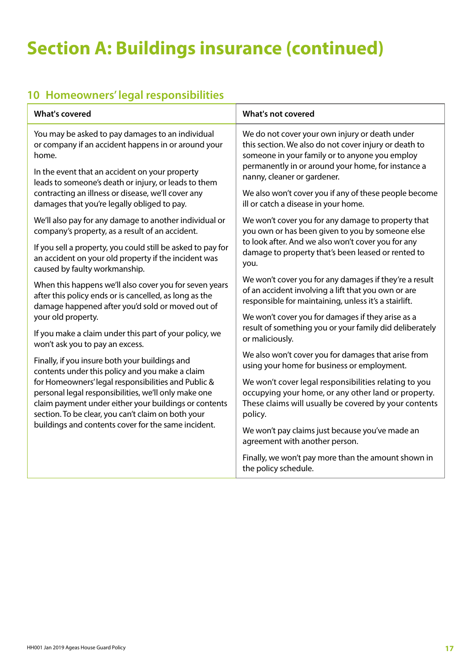### **10 Homeowners' legal responsibilities**

| <b>What's covered</b>                                                                                                                                                                                                                                                                                                                                                                  | What's not covered                                                                                                                                                               |
|----------------------------------------------------------------------------------------------------------------------------------------------------------------------------------------------------------------------------------------------------------------------------------------------------------------------------------------------------------------------------------------|----------------------------------------------------------------------------------------------------------------------------------------------------------------------------------|
| You may be asked to pay damages to an individual<br>or company if an accident happens in or around your<br>home.                                                                                                                                                                                                                                                                       | We do not cover your own injury or death under<br>this section. We also do not cover injury or death to<br>someone in your family or to anyone you employ                        |
| In the event that an accident on your property<br>leads to someone's death or injury, or leads to them                                                                                                                                                                                                                                                                                 | permanently in or around your home, for instance a<br>nanny, cleaner or gardener.                                                                                                |
| contracting an illness or disease, we'll cover any<br>damages that you're legally obliged to pay.                                                                                                                                                                                                                                                                                      | We also won't cover you if any of these people become<br>ill or catch a disease in your home.                                                                                    |
| We'll also pay for any damage to another individual or<br>company's property, as a result of an accident.                                                                                                                                                                                                                                                                              | We won't cover you for any damage to property that<br>you own or has been given to you by someone else                                                                           |
| If you sell a property, you could still be asked to pay for<br>an accident on your old property if the incident was<br>caused by faulty workmanship.                                                                                                                                                                                                                                   | to look after. And we also won't cover you for any<br>damage to property that's been leased or rented to<br>you.                                                                 |
| When this happens we'll also cover you for seven years<br>after this policy ends or is cancelled, as long as the<br>damage happened after you'd sold or moved out of                                                                                                                                                                                                                   | We won't cover you for any damages if they're a result<br>of an accident involving a lift that you own or are<br>responsible for maintaining, unless it's a stairlift.           |
| your old property.                                                                                                                                                                                                                                                                                                                                                                     | We won't cover you for damages if they arise as a<br>result of something you or your family did deliberately                                                                     |
| If you make a claim under this part of your policy, we<br>won't ask you to pay an excess.                                                                                                                                                                                                                                                                                              | or maliciously.                                                                                                                                                                  |
| Finally, if you insure both your buildings and<br>contents under this policy and you make a claim<br>for Homeowners' legal responsibilities and Public &<br>personal legal responsibilities, we'll only make one<br>claim payment under either your buildings or contents<br>section. To be clear, you can't claim on both your<br>buildings and contents cover for the same incident. | We also won't cover you for damages that arise from<br>using your home for business or employment.                                                                               |
|                                                                                                                                                                                                                                                                                                                                                                                        | We won't cover legal responsibilities relating to you<br>occupying your home, or any other land or property.<br>These claims will usually be covered by your contents<br>policy. |
|                                                                                                                                                                                                                                                                                                                                                                                        | We won't pay claims just because you've made an<br>agreement with another person.                                                                                                |
|                                                                                                                                                                                                                                                                                                                                                                                        | Finally, we won't pay more than the amount shown in<br>the policy schedule.                                                                                                      |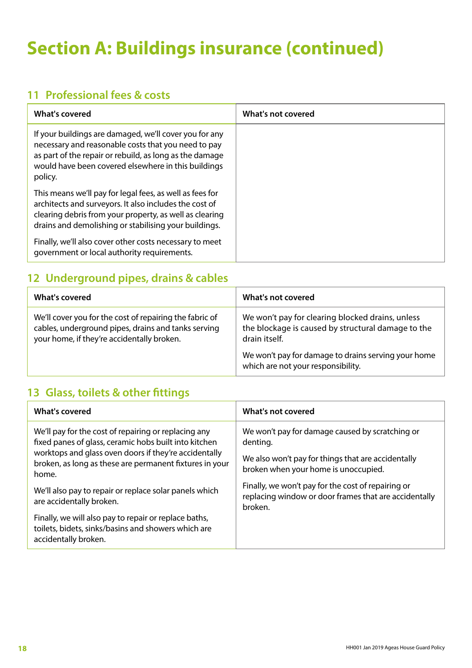### **11 Professional fees & costs**

| What's covered                                                                                                                                                                                                                             | What's not covered |
|--------------------------------------------------------------------------------------------------------------------------------------------------------------------------------------------------------------------------------------------|--------------------|
| If your buildings are damaged, we'll cover you for any<br>necessary and reasonable costs that you need to pay<br>as part of the repair or rebuild, as long as the damage<br>would have been covered elsewhere in this buildings<br>policy. |                    |
| This means we'll pay for legal fees, as well as fees for<br>architects and surveyors. It also includes the cost of<br>clearing debris from your property, as well as clearing<br>drains and demolishing or stabilising your buildings.     |                    |
| Finally, we'll also cover other costs necessary to meet<br>government or local authority requirements.                                                                                                                                     |                    |

### **12 Underground pipes, drains & cables**

| What's covered                                                                                                                                               | What's not covered                                                                                                      |
|--------------------------------------------------------------------------------------------------------------------------------------------------------------|-------------------------------------------------------------------------------------------------------------------------|
| We'll cover you for the cost of repairing the fabric of<br>cables, underground pipes, drains and tanks serving<br>your home, if they're accidentally broken. | We won't pay for clearing blocked drains, unless<br>the blockage is caused by structural damage to the<br>drain itself. |
|                                                                                                                                                              | We won't pay for damage to drains serving your home<br>which are not your responsibility.                               |

### **13 Glass, toilets & other fittings**

| What's covered                                                                                                                       | What's not covered                                                                                                     |
|--------------------------------------------------------------------------------------------------------------------------------------|------------------------------------------------------------------------------------------------------------------------|
| We'll pay for the cost of repairing or replacing any<br>fixed panes of glass, ceramic hobs built into kitchen                        | We won't pay for damage caused by scratching or<br>denting.                                                            |
| worktops and glass oven doors if they're accidentally<br>broken, as long as these are permanent fixtures in your<br>home.            | We also won't pay for things that are accidentally<br>broken when your home is unoccupied.                             |
| We'll also pay to repair or replace solar panels which<br>are accidentally broken.                                                   | Finally, we won't pay for the cost of repairing or<br>replacing window or door frames that are accidentally<br>broken. |
| Finally, we will also pay to repair or replace baths,<br>toilets, bidets, sinks/basins and showers which are<br>accidentally broken. |                                                                                                                        |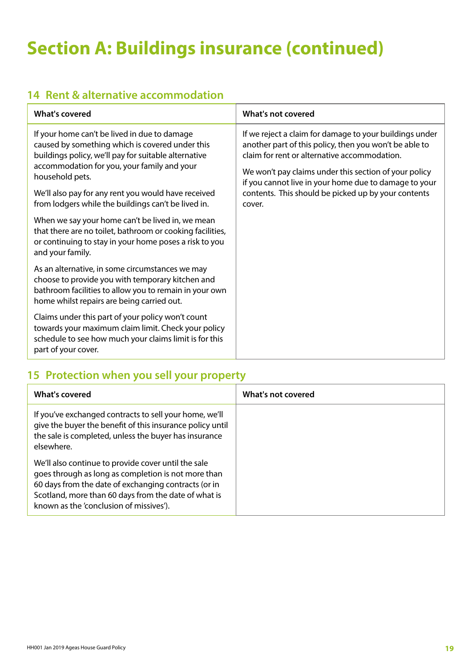### **14 Rent & alternative accommodation**

| <b>What's covered</b>                                                                                                                                                                                                                                                                                                                                                                       | <b>What's not covered</b>                                                                                                                                                                                                                                                                                                                            |
|---------------------------------------------------------------------------------------------------------------------------------------------------------------------------------------------------------------------------------------------------------------------------------------------------------------------------------------------------------------------------------------------|------------------------------------------------------------------------------------------------------------------------------------------------------------------------------------------------------------------------------------------------------------------------------------------------------------------------------------------------------|
| If your home can't be lived in due to damage<br>caused by something which is covered under this<br>buildings policy, we'll pay for suitable alternative<br>accommodation for you, your family and your<br>household pets.<br>We'll also pay for any rent you would have received<br>from lodgers while the buildings can't be lived in.<br>When we say your home can't be lived in, we mean | If we reject a claim for damage to your buildings under<br>another part of this policy, then you won't be able to<br>claim for rent or alternative accommodation.<br>We won't pay claims under this section of your policy<br>if you cannot live in your home due to damage to your<br>contents. This should be picked up by your contents<br>cover. |
| that there are no toilet, bathroom or cooking facilities,<br>or continuing to stay in your home poses a risk to you<br>and your family.                                                                                                                                                                                                                                                     |                                                                                                                                                                                                                                                                                                                                                      |
| As an alternative, in some circumstances we may<br>choose to provide you with temporary kitchen and<br>bathroom facilities to allow you to remain in your own<br>home whilst repairs are being carried out.                                                                                                                                                                                 |                                                                                                                                                                                                                                                                                                                                                      |
| Claims under this part of your policy won't count<br>towards your maximum claim limit. Check your policy<br>schedule to see how much your claims limit is for this<br>part of your cover.                                                                                                                                                                                                   |                                                                                                                                                                                                                                                                                                                                                      |

### **15 Protection when you sell your property**

| What's covered                                                                                                                                                                                                                                                        | What's not covered |
|-----------------------------------------------------------------------------------------------------------------------------------------------------------------------------------------------------------------------------------------------------------------------|--------------------|
| If you've exchanged contracts to sell your home, we'll<br>give the buyer the benefit of this insurance policy until<br>the sale is completed, unless the buyer has insurance<br>elsewhere.                                                                            |                    |
| We'll also continue to provide cover until the sale<br>goes through as long as completion is not more than<br>60 days from the date of exchanging contracts (or in<br>Scotland, more than 60 days from the date of what is<br>known as the 'conclusion of missives'). |                    |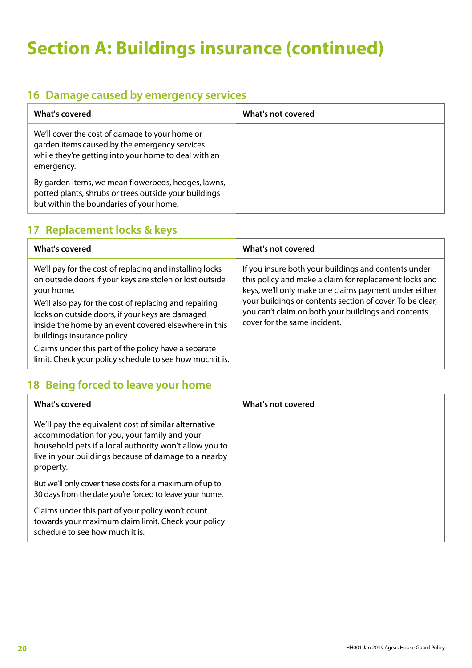### **16 Damage caused by emergency services**

| What's covered                                                                                                                                                        | What's not covered |
|-----------------------------------------------------------------------------------------------------------------------------------------------------------------------|--------------------|
| We'll cover the cost of damage to your home or<br>garden items caused by the emergency services<br>while they're getting into your home to deal with an<br>emergency. |                    |
| By garden items, we mean flowerbeds, hedges, lawns,<br>potted plants, shrubs or trees outside your buildings<br>but within the boundaries of your home.               |                    |

### **17 Replacement locks & keys**

| What's covered                                                                                                                                                                                                                                                                                                                                                                                                                                               | What's not covered                                                                                                                                                                                                                                                                                                          |
|--------------------------------------------------------------------------------------------------------------------------------------------------------------------------------------------------------------------------------------------------------------------------------------------------------------------------------------------------------------------------------------------------------------------------------------------------------------|-----------------------------------------------------------------------------------------------------------------------------------------------------------------------------------------------------------------------------------------------------------------------------------------------------------------------------|
| We'll pay for the cost of replacing and installing locks<br>on outside doors if your keys are stolen or lost outside<br>your home.<br>We'll also pay for the cost of replacing and repairing<br>locks on outside doors, if your keys are damaged<br>inside the home by an event covered elsewhere in this<br>buildings insurance policy.<br>Claims under this part of the policy have a separate<br>limit. Check your policy schedule to see how much it is. | If you insure both your buildings and contents under<br>this policy and make a claim for replacement locks and<br>keys, we'll only make one claims payment under either<br>your buildings or contents section of cover. To be clear,<br>you can't claim on both your buildings and contents<br>cover for the same incident. |
|                                                                                                                                                                                                                                                                                                                                                                                                                                                              |                                                                                                                                                                                                                                                                                                                             |

### **18 Being forced to leave your home**

| What's covered                                                                                                                                                                                                                     | <b>What's not covered</b> |
|------------------------------------------------------------------------------------------------------------------------------------------------------------------------------------------------------------------------------------|---------------------------|
| We'll pay the equivalent cost of similar alternative<br>accommodation for you, your family and your<br>household pets if a local authority won't allow you to<br>live in your buildings because of damage to a nearby<br>property. |                           |
| But we'll only cover these costs for a maximum of up to<br>30 days from the date you're forced to leave your home.                                                                                                                 |                           |
| Claims under this part of your policy won't count<br>towards your maximum claim limit. Check your policy<br>schedule to see how much it is.                                                                                        |                           |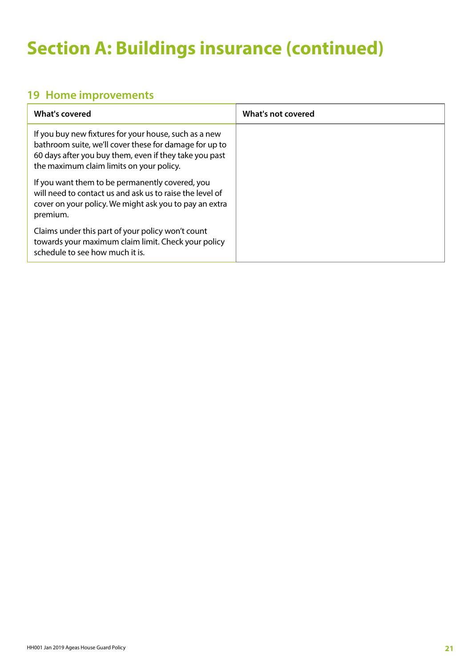### **19 Home improvements**

| What's covered                                                                                                                                                                                                        | What's not covered |
|-----------------------------------------------------------------------------------------------------------------------------------------------------------------------------------------------------------------------|--------------------|
| If you buy new fixtures for your house, such as a new<br>bathroom suite, we'll cover these for damage for up to<br>60 days after you buy them, even if they take you past<br>the maximum claim limits on your policy. |                    |
| If you want them to be permanently covered, you<br>will need to contact us and ask us to raise the level of<br>cover on your policy. We might ask you to pay an extra<br>premium.                                     |                    |
| Claims under this part of your policy won't count<br>towards your maximum claim limit. Check your policy<br>schedule to see how much it is.                                                                           |                    |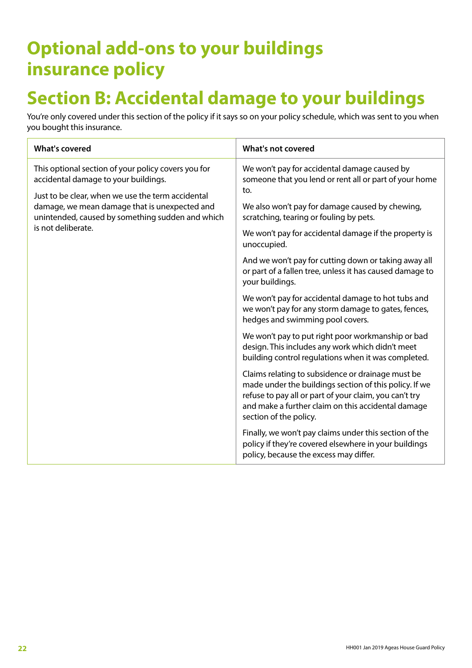## **Optional add-ons to your buildings insurance policy**

## **Section B: Accidental damage to your buildings**

You're only covered under this section of the policy if it says so on your policy schedule, which was sent to you when you bought this insurance.

| <b>What's covered</b>                                                                                                                            | What's not covered                                                                                                                                                                                                                                    |
|--------------------------------------------------------------------------------------------------------------------------------------------------|-------------------------------------------------------------------------------------------------------------------------------------------------------------------------------------------------------------------------------------------------------|
| This optional section of your policy covers you for<br>accidental damage to your buildings.<br>Just to be clear, when we use the term accidental | We won't pay for accidental damage caused by<br>someone that you lend or rent all or part of your home<br>to.                                                                                                                                         |
| damage, we mean damage that is unexpected and<br>unintended, caused by something sudden and which<br>is not deliberate.                          | We also won't pay for damage caused by chewing,<br>scratching, tearing or fouling by pets.                                                                                                                                                            |
|                                                                                                                                                  | We won't pay for accidental damage if the property is<br>unoccupied.                                                                                                                                                                                  |
|                                                                                                                                                  | And we won't pay for cutting down or taking away all<br>or part of a fallen tree, unless it has caused damage to<br>your buildings.                                                                                                                   |
|                                                                                                                                                  | We won't pay for accidental damage to hot tubs and<br>we won't pay for any storm damage to gates, fences,<br>hedges and swimming pool covers.                                                                                                         |
|                                                                                                                                                  | We won't pay to put right poor workmanship or bad<br>design. This includes any work which didn't meet<br>building control regulations when it was completed.                                                                                          |
|                                                                                                                                                  | Claims relating to subsidence or drainage must be<br>made under the buildings section of this policy. If we<br>refuse to pay all or part of your claim, you can't try<br>and make a further claim on this accidental damage<br>section of the policy. |
|                                                                                                                                                  | Finally, we won't pay claims under this section of the<br>policy if they're covered elsewhere in your buildings<br>policy, because the excess may differ.                                                                                             |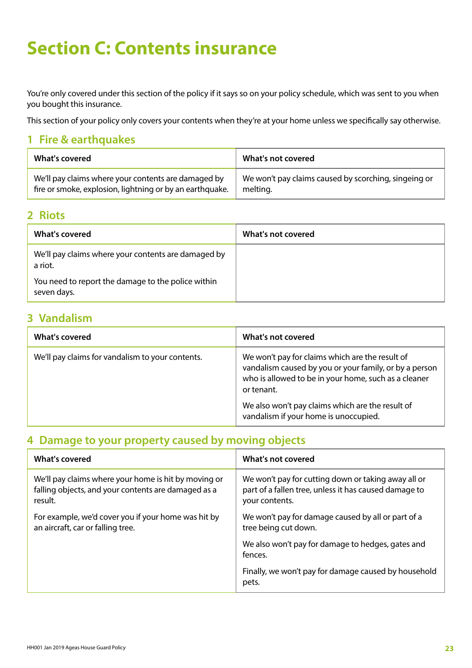## **Section C: Contents insurance**

You're only covered under this section of the policy if it says so on your policy schedule, which was sent to you when you bought this insurance.

This section of your policy only covers your contents when they're at your home unless we specifically say otherwise.

#### **1 Fire & earthquakes**

| What's covered                                           | What's not covered                                   |
|----------------------------------------------------------|------------------------------------------------------|
| We'll pay claims where your contents are damaged by      | We won't pay claims caused by scorching, singeing or |
| fire or smoke, explosion, lightning or by an earthquake. | melting.                                             |

#### **2 Riots**

| What's covered                                                    | What's not covered |
|-------------------------------------------------------------------|--------------------|
| We'll pay claims where your contents are damaged by<br>a riot.    |                    |
| You need to report the damage to the police within<br>seven days. |                    |

#### **3 Vandalism**

| What's covered                                   | What's not covered                                                                                                                                                                                                                                                           |
|--------------------------------------------------|------------------------------------------------------------------------------------------------------------------------------------------------------------------------------------------------------------------------------------------------------------------------------|
| We'll pay claims for vandalism to your contents. | We won't pay for claims which are the result of<br>vandalism caused by you or your family, or by a person<br>who is allowed to be in your home, such as a cleaner<br>or tenant.<br>We also won't pay claims which are the result of<br>vandalism if your home is unoccupied. |

#### **4 Damage to your property caused by moving objects**

| What's covered                                                                                                         | What's not covered                                                                                                             |
|------------------------------------------------------------------------------------------------------------------------|--------------------------------------------------------------------------------------------------------------------------------|
| We'll pay claims where your home is hit by moving or<br>falling objects, and your contents are damaged as a<br>result. | We won't pay for cutting down or taking away all or<br>part of a fallen tree, unless it has caused damage to<br>your contents. |
| For example, we'd cover you if your home was hit by<br>an aircraft, car or falling tree.                               | We won't pay for damage caused by all or part of a<br>tree being cut down.                                                     |
|                                                                                                                        | We also won't pay for damage to hedges, gates and<br>fences.                                                                   |
|                                                                                                                        | Finally, we won't pay for damage caused by household<br>pets.                                                                  |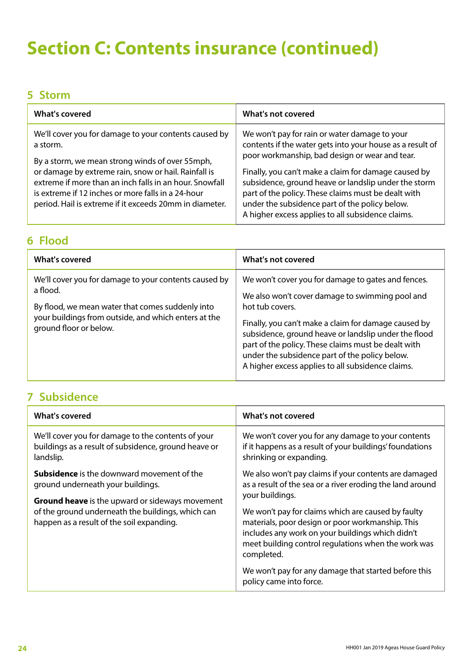#### **5 Storm**

| <b>What's covered</b>                                                                                                                                                                                                                                                                                                                                    | <b>What's not covered</b>                                                                                                                                                                                                                                                  |
|----------------------------------------------------------------------------------------------------------------------------------------------------------------------------------------------------------------------------------------------------------------------------------------------------------------------------------------------------------|----------------------------------------------------------------------------------------------------------------------------------------------------------------------------------------------------------------------------------------------------------------------------|
| We'll cover you for damage to your contents caused by<br>a storm.<br>By a storm, we mean strong winds of over 55mph,<br>or damage by extreme rain, snow or hail. Rainfall is<br>extreme if more than an inch falls in an hour. Snowfall<br>is extreme if 12 inches or more falls in a 24-hour<br>period. Hail is extreme if it exceeds 20mm in diameter. | We won't pay for rain or water damage to your<br>contents if the water gets into your house as a result of<br>poor workmanship, bad design or wear and tear.                                                                                                               |
|                                                                                                                                                                                                                                                                                                                                                          | Finally, you can't make a claim for damage caused by<br>subsidence, ground heave or landslip under the storm<br>part of the policy. These claims must be dealt with<br>under the subsidence part of the policy below.<br>A higher excess applies to all subsidence claims. |

#### **6 Flood**

| What's covered                                                                                                                                                                                          | What's not covered                                                                                                                                                                                                                                                                                                                                                                                     |
|---------------------------------------------------------------------------------------------------------------------------------------------------------------------------------------------------------|--------------------------------------------------------------------------------------------------------------------------------------------------------------------------------------------------------------------------------------------------------------------------------------------------------------------------------------------------------------------------------------------------------|
| We'll cover you for damage to your contents caused by<br>a flood.<br>By flood, we mean water that comes suddenly into<br>your buildings from outside, and which enters at the<br>ground floor or below. | We won't cover you for damage to gates and fences.<br>We also won't cover damage to swimming pool and<br>hot tub covers.<br>Finally, you can't make a claim for damage caused by<br>subsidence, ground heave or landslip under the flood<br>part of the policy. These claims must be dealt with<br>under the subsidence part of the policy below.<br>A higher excess applies to all subsidence claims. |

### **7 Subsidence**

| What's covered                                                                                                                                           | What's not covered                                                                                                                                                                                                              |
|----------------------------------------------------------------------------------------------------------------------------------------------------------|---------------------------------------------------------------------------------------------------------------------------------------------------------------------------------------------------------------------------------|
| We'll cover you for damage to the contents of your<br>buildings as a result of subsidence, ground heave or<br>landslip.                                  | We won't cover you for any damage to your contents<br>if it happens as a result of your buildings' foundations<br>shrinking or expanding.                                                                                       |
| <b>Subsidence</b> is the downward movement of the<br>ground underneath your buildings.                                                                   | We also won't pay claims if your contents are damaged<br>as a result of the sea or a river eroding the land around<br>your buildings.                                                                                           |
| <b>Ground heave</b> is the upward or sideways movement<br>of the ground underneath the buildings, which can<br>happen as a result of the soil expanding. | We won't pay for claims which are caused by faulty<br>materials, poor design or poor workmanship. This<br>includes any work on your buildings which didn't<br>meet building control regulations when the work was<br>completed. |
|                                                                                                                                                          | We won't pay for any damage that started before this<br>policy came into force.                                                                                                                                                 |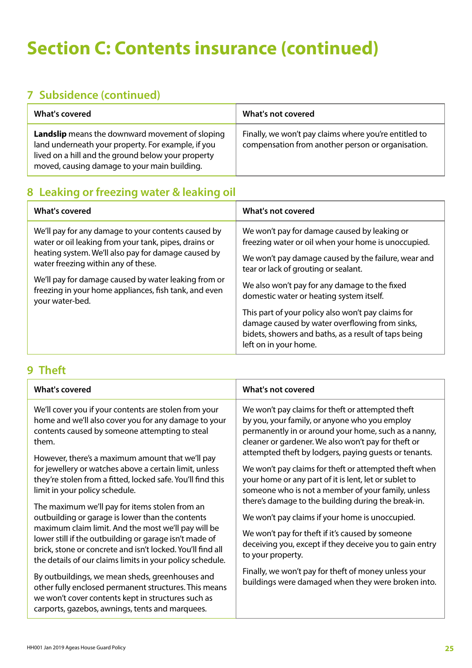### **7 Subsidence (continued)**

| What's covered                                                                                                                                                                                                     | What's not covered                                                                                         |
|--------------------------------------------------------------------------------------------------------------------------------------------------------------------------------------------------------------------|------------------------------------------------------------------------------------------------------------|
| <b>Landslip</b> means the downward movement of sloping<br>land underneath your property. For example, if you<br>lived on a hill and the ground below your property<br>moved, causing damage to your main building. | Finally, we won't pay claims where you're entitled to<br>compensation from another person or organisation. |

### **8 Leaking or freezing water & leaking oil**

| What's covered                                                                                                                   | What's not covered                                                                                                                                                                    |
|----------------------------------------------------------------------------------------------------------------------------------|---------------------------------------------------------------------------------------------------------------------------------------------------------------------------------------|
| We'll pay for any damage to your contents caused by<br>water or oil leaking from your tank, pipes, drains or                     | We won't pay for damage caused by leaking or<br>freezing water or oil when your home is unoccupied.                                                                                   |
| heating system. We'll also pay for damage caused by<br>water freezing within any of these.                                       | We won't pay damage caused by the failure, wear and<br>tear or lack of grouting or sealant.                                                                                           |
| We'll pay for damage caused by water leaking from or<br>freezing in your home appliances, fish tank, and even<br>your water-bed. | We also won't pay for any damage to the fixed<br>domestic water or heating system itself.                                                                                             |
|                                                                                                                                  | This part of your policy also won't pay claims for<br>damage caused by water overflowing from sinks,<br>bidets, showers and baths, as a result of taps being<br>left on in your home. |

#### **9 Theft**

| <b>What's covered</b>                                                                                                                                                                                                                    | What's not covered                                                                                                                                                                                               |
|------------------------------------------------------------------------------------------------------------------------------------------------------------------------------------------------------------------------------------------|------------------------------------------------------------------------------------------------------------------------------------------------------------------------------------------------------------------|
| We'll cover you if your contents are stolen from your<br>home and we'll also cover you for any damage to your<br>contents caused by someone attempting to steal<br>them.                                                                 | We won't pay claims for theft or attempted theft<br>by you, your family, or anyone who you employ<br>permanently in or around your home, such as a nanny,<br>cleaner or gardener. We also won't pay for theft or |
| However, there's a maximum amount that we'll pay                                                                                                                                                                                         | attempted theft by lodgers, paying guests or tenants.                                                                                                                                                            |
| for jewellery or watches above a certain limit, unless<br>they're stolen from a fitted, locked safe. You'll find this<br>limit in your policy schedule.                                                                                  | We won't pay claims for theft or attempted theft when<br>your home or any part of it is lent, let or sublet to<br>someone who is not a member of your family, unless                                             |
| The maximum we'll pay for items stolen from an                                                                                                                                                                                           | there's damage to the building during the break-in.                                                                                                                                                              |
| outbuilding or garage is lower than the contents                                                                                                                                                                                         | We won't pay claims if your home is unoccupied.                                                                                                                                                                  |
| maximum claim limit. And the most we'll pay will be<br>lower still if the outbuilding or garage isn't made of<br>brick, stone or concrete and isn't locked. You'll find all<br>the details of our claims limits in your policy schedule. | We won't pay for theft if it's caused by someone<br>deceiving you, except if they deceive you to gain entry<br>to your property.                                                                                 |
| By outbuildings, we mean sheds, greenhouses and<br>other fully enclosed permanent structures. This means<br>we won't cover contents kept in structures such as<br>carports, gazebos, awnings, tents and marquees.                        | Finally, we won't pay for theft of money unless your<br>buildings were damaged when they were broken into.                                                                                                       |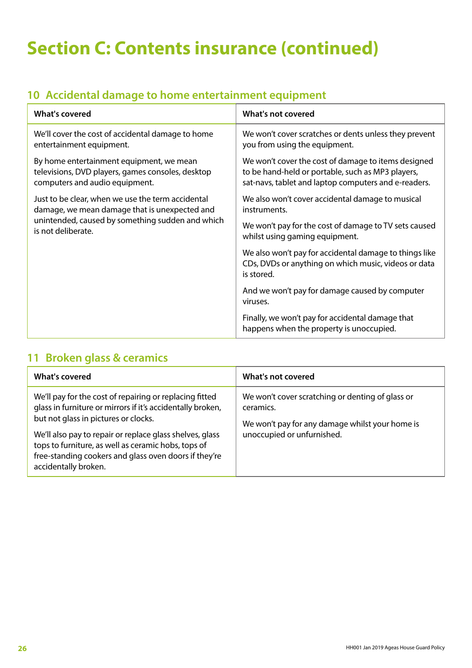|  |  | 10 Accidental damage to home entertainment equipment |  |
|--|--|------------------------------------------------------|--|
|  |  |                                                      |  |

| What's covered                                                                                                                                                               | <b>What's not covered</b>                                                                                                                                        |
|------------------------------------------------------------------------------------------------------------------------------------------------------------------------------|------------------------------------------------------------------------------------------------------------------------------------------------------------------|
| We'll cover the cost of accidental damage to home<br>entertainment equipment.                                                                                                | We won't cover scratches or dents unless they prevent<br>you from using the equipment.                                                                           |
| By home entertainment equipment, we mean<br>televisions, DVD players, games consoles, desktop<br>computers and audio equipment.                                              | We won't cover the cost of damage to items designed<br>to be hand-held or portable, such as MP3 players,<br>sat-navs, tablet and laptop computers and e-readers. |
| Just to be clear, when we use the term accidental<br>damage, we mean damage that is unexpected and<br>unintended, caused by something sudden and which<br>is not deliberate. | We also won't cover accidental damage to musical<br>instruments.                                                                                                 |
|                                                                                                                                                                              | We won't pay for the cost of damage to TV sets caused<br>whilst using gaming equipment.                                                                          |
|                                                                                                                                                                              | We also won't pay for accidental damage to things like<br>CDs, DVDs or anything on which music, videos or data<br>is stored.                                     |
|                                                                                                                                                                              | And we won't pay for damage caused by computer<br>viruses.                                                                                                       |
|                                                                                                                                                                              | Finally, we won't pay for accidental damage that<br>happens when the property is unoccupied.                                                                     |

### **11 Broken glass & ceramics**

| <b>What's covered</b>                                                                                                                                                                                                                                                                                                                                             | What's not covered                                                                                                                             |
|-------------------------------------------------------------------------------------------------------------------------------------------------------------------------------------------------------------------------------------------------------------------------------------------------------------------------------------------------------------------|------------------------------------------------------------------------------------------------------------------------------------------------|
| We'll pay for the cost of repairing or replacing fitted<br>glass in furniture or mirrors if it's accidentally broken,<br>but not glass in pictures or clocks.<br>We'll also pay to repair or replace glass shelves, glass<br>tops to furniture, as well as ceramic hobs, tops of<br>free-standing cookers and glass oven doors if they're<br>accidentally broken. | We won't cover scratching or denting of glass or<br>ceramics.<br>We won't pay for any damage whilst your home is<br>unoccupied or unfurnished. |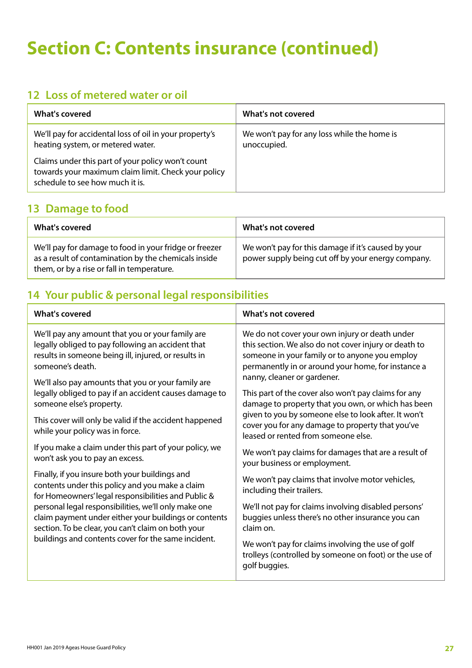#### **12 Loss of metered water or oil**

| What's covered                                                                                                                              | What's not covered                                         |
|---------------------------------------------------------------------------------------------------------------------------------------------|------------------------------------------------------------|
| We'll pay for accidental loss of oil in your property's<br>heating system, or metered water.                                                | We won't pay for any loss while the home is<br>unoccupied. |
| Claims under this part of your policy won't count<br>towards your maximum claim limit. Check your policy<br>schedule to see how much it is. |                                                            |

### **13 Damage to food**

| What's covered                                                                                                                                               | What's not covered                                                                                        |
|--------------------------------------------------------------------------------------------------------------------------------------------------------------|-----------------------------------------------------------------------------------------------------------|
| We'll pay for damage to food in your fridge or freezer<br>as a result of contamination by the chemicals inside<br>them, or by a rise or fall in temperature. | We won't pay for this damage if it's caused by your<br>power supply being cut off by your energy company. |

### **14 Your public & personal legal responsibilities**

| <b>What's covered</b>                                                                                                                                                             | What's not covered                                                                                                                                                                                                                             |
|-----------------------------------------------------------------------------------------------------------------------------------------------------------------------------------|------------------------------------------------------------------------------------------------------------------------------------------------------------------------------------------------------------------------------------------------|
| We'll pay any amount that you or your family are<br>legally obliged to pay following an accident that<br>results in someone being ill, injured, or results in<br>someone's death. | We do not cover your own injury or death under<br>this section. We also do not cover injury or death to<br>someone in your family or to anyone you employ<br>permanently in or around your home, for instance a<br>nanny, cleaner or gardener. |
| We'll also pay amounts that you or your family are<br>legally obliged to pay if an accident causes damage to<br>someone else's property.                                          | This part of the cover also won't pay claims for any<br>damage to property that you own, or which has been                                                                                                                                     |
| This cover will only be valid if the accident happened<br>while your policy was in force.                                                                                         | given to you by someone else to look after. It won't<br>cover you for any damage to property that you've<br>leased or rented from someone else.                                                                                                |
| If you make a claim under this part of your policy, we<br>won't ask you to pay an excess.                                                                                         | We won't pay claims for damages that are a result of<br>your business or employment.                                                                                                                                                           |
| Finally, if you insure both your buildings and<br>contents under this policy and you make a claim<br>for Homeowners' legal responsibilities and Public &                          | We won't pay claims that involve motor vehicles,<br>including their trailers.                                                                                                                                                                  |
| personal legal responsibilities, we'll only make one<br>claim payment under either your buildings or contents<br>section. To be clear, you can't claim on both your               | We'll not pay for claims involving disabled persons'<br>buggies unless there's no other insurance you can<br>claim on.                                                                                                                         |
| buildings and contents cover for the same incident.                                                                                                                               | We won't pay for claims involving the use of golf<br>trolleys (controlled by someone on foot) or the use of<br>golf buggies.                                                                                                                   |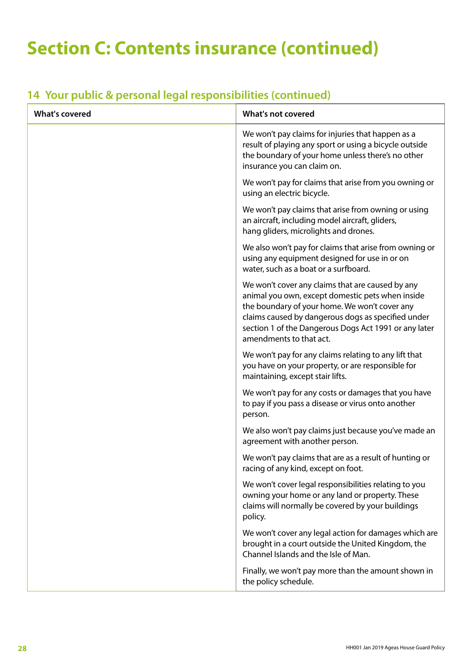| <b>What's covered</b> | <b>What's not covered</b>                                                                                                                                                                                                                                                                       |
|-----------------------|-------------------------------------------------------------------------------------------------------------------------------------------------------------------------------------------------------------------------------------------------------------------------------------------------|
|                       | We won't pay claims for injuries that happen as a<br>result of playing any sport or using a bicycle outside<br>the boundary of your home unless there's no other<br>insurance you can claim on.                                                                                                 |
|                       | We won't pay for claims that arise from you owning or<br>using an electric bicycle.                                                                                                                                                                                                             |
|                       | We won't pay claims that arise from owning or using<br>an aircraft, including model aircraft, gliders,<br>hang gliders, microlights and drones.                                                                                                                                                 |
|                       | We also won't pay for claims that arise from owning or<br>using any equipment designed for use in or on<br>water, such as a boat or a surfboard.                                                                                                                                                |
|                       | We won't cover any claims that are caused by any<br>animal you own, except domestic pets when inside<br>the boundary of your home. We won't cover any<br>claims caused by dangerous dogs as specified under<br>section 1 of the Dangerous Dogs Act 1991 or any later<br>amendments to that act. |
|                       | We won't pay for any claims relating to any lift that<br>you have on your property, or are responsible for<br>maintaining, except stair lifts.                                                                                                                                                  |
|                       | We won't pay for any costs or damages that you have<br>to pay if you pass a disease or virus onto another<br>person.                                                                                                                                                                            |
|                       | We also won't pay claims just because you've made an<br>agreement with another person.                                                                                                                                                                                                          |
|                       | We won't pay claims that are as a result of hunting or<br>racing of any kind, except on foot.                                                                                                                                                                                                   |
|                       | We won't cover legal responsibilities relating to you<br>owning your home or any land or property. These<br>claims will normally be covered by your buildings<br>policy.                                                                                                                        |
|                       | We won't cover any legal action for damages which are<br>brought in a court outside the United Kingdom, the<br>Channel Islands and the Isle of Man.                                                                                                                                             |
|                       | Finally, we won't pay more than the amount shown in<br>the policy schedule.                                                                                                                                                                                                                     |

### **14 Your public & personal legal responsibilities (continued)**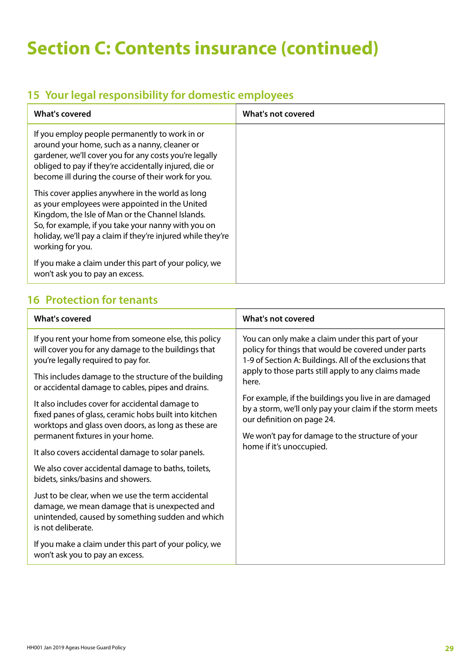### **15 Your legal responsibility for domestic employees**

| <b>What's covered</b>                                                                                                                                                                                                                                                                            | What's not covered |
|--------------------------------------------------------------------------------------------------------------------------------------------------------------------------------------------------------------------------------------------------------------------------------------------------|--------------------|
| If you employ people permanently to work in or<br>around your home, such as a nanny, cleaner or<br>gardener, we'll cover you for any costs you're legally<br>obliged to pay if they're accidentally injured, die or<br>become ill during the course of their work for you.                       |                    |
| This cover applies anywhere in the world as long<br>as your employees were appointed in the United<br>Kingdom, the Isle of Man or the Channel Islands.<br>So, for example, if you take your nanny with you on<br>holiday, we'll pay a claim if they're injured while they're<br>working for you. |                    |
| If you make a claim under this part of your policy, we<br>won't ask you to pay an excess.                                                                                                                                                                                                        |                    |

#### **16 Protection for tenants**

| <b>What's covered</b>                                                                                                                                                                                                                                                                                                                                                                                                                                                   | <b>What's not covered</b>                                                                                                                                                                                                                                                                                                                                                                                                                  |
|-------------------------------------------------------------------------------------------------------------------------------------------------------------------------------------------------------------------------------------------------------------------------------------------------------------------------------------------------------------------------------------------------------------------------------------------------------------------------|--------------------------------------------------------------------------------------------------------------------------------------------------------------------------------------------------------------------------------------------------------------------------------------------------------------------------------------------------------------------------------------------------------------------------------------------|
| If you rent your home from someone else, this policy<br>will cover you for any damage to the buildings that<br>you're legally required to pay for.<br>This includes damage to the structure of the building<br>or accidental damage to cables, pipes and drains.<br>It also includes cover for accidental damage to<br>fixed panes of glass, ceramic hobs built into kitchen<br>worktops and glass oven doors, as long as these are<br>permanent fixtures in your home. | You can only make a claim under this part of your<br>policy for things that would be covered under parts<br>1-9 of Section A: Buildings. All of the exclusions that<br>apply to those parts still apply to any claims made<br>here.<br>For example, if the buildings you live in are damaged<br>by a storm, we'll only pay your claim if the storm meets<br>our definition on page 24.<br>We won't pay for damage to the structure of your |
| It also covers accidental damage to solar panels.                                                                                                                                                                                                                                                                                                                                                                                                                       | home if it's unoccupied.                                                                                                                                                                                                                                                                                                                                                                                                                   |
| We also cover accidental damage to baths, toilets,<br>bidets, sinks/basins and showers.                                                                                                                                                                                                                                                                                                                                                                                 |                                                                                                                                                                                                                                                                                                                                                                                                                                            |
| Just to be clear, when we use the term accidental<br>damage, we mean damage that is unexpected and<br>unintended, caused by something sudden and which<br>is not deliberate.                                                                                                                                                                                                                                                                                            |                                                                                                                                                                                                                                                                                                                                                                                                                                            |
| If you make a claim under this part of your policy, we<br>won't ask you to pay an excess.                                                                                                                                                                                                                                                                                                                                                                               |                                                                                                                                                                                                                                                                                                                                                                                                                                            |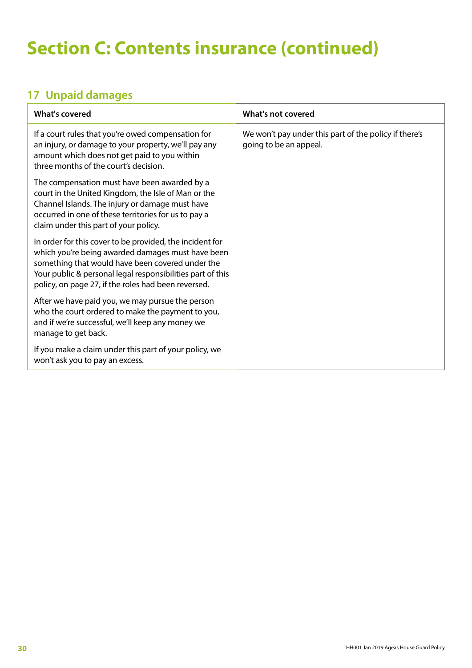### **17 Unpaid damages**

| What's covered                                                                                                                                                                                                                                                                         | What's not covered                                                              |
|----------------------------------------------------------------------------------------------------------------------------------------------------------------------------------------------------------------------------------------------------------------------------------------|---------------------------------------------------------------------------------|
| If a court rules that you're owed compensation for<br>an injury, or damage to your property, we'll pay any<br>amount which does not get paid to you within<br>three months of the court's decision.                                                                                    | We won't pay under this part of the policy if there's<br>going to be an appeal. |
| The compensation must have been awarded by a<br>court in the United Kingdom, the Isle of Man or the<br>Channel Islands. The injury or damage must have<br>occurred in one of these territories for us to pay a<br>claim under this part of your policy.                                |                                                                                 |
| In order for this cover to be provided, the incident for<br>which you're being awarded damages must have been<br>something that would have been covered under the<br>Your public & personal legal responsibilities part of this<br>policy, on page 27, if the roles had been reversed. |                                                                                 |
| After we have paid you, we may pursue the person<br>who the court ordered to make the payment to you,<br>and if we're successful, we'll keep any money we<br>manage to get back.                                                                                                       |                                                                                 |
| If you make a claim under this part of your policy, we<br>won't ask you to pay an excess.                                                                                                                                                                                              |                                                                                 |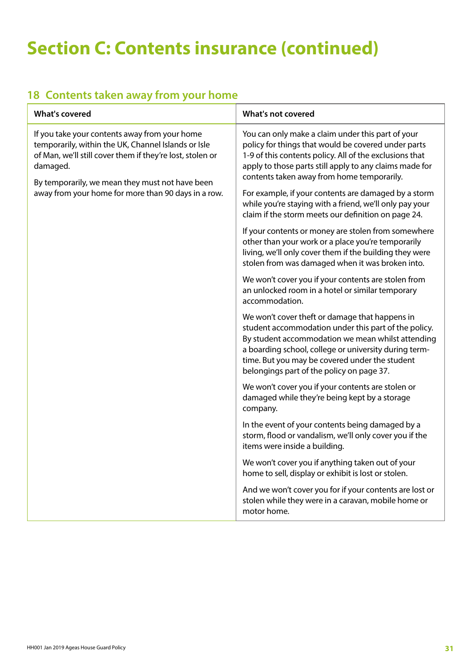### **18 Contents taken away from your home**

| <b>What's covered</b>                                                                                                                                                                                                                                                                   | <b>What's not covered</b>                                                                                                                                                                                                                                                                                                            |
|-----------------------------------------------------------------------------------------------------------------------------------------------------------------------------------------------------------------------------------------------------------------------------------------|--------------------------------------------------------------------------------------------------------------------------------------------------------------------------------------------------------------------------------------------------------------------------------------------------------------------------------------|
| If you take your contents away from your home<br>temporarily, within the UK, Channel Islands or Isle<br>of Man, we'll still cover them if they're lost, stolen or<br>damaged.<br>By temporarily, we mean they must not have been<br>away from your home for more than 90 days in a row. | You can only make a claim under this part of your<br>policy for things that would be covered under parts<br>1-9 of this contents policy. All of the exclusions that<br>apply to those parts still apply to any claims made for<br>contents taken away from home temporarily.<br>For example, if your contents are damaged by a storm |
|                                                                                                                                                                                                                                                                                         | while you're staying with a friend, we'll only pay your<br>claim if the storm meets our definition on page 24.                                                                                                                                                                                                                       |
|                                                                                                                                                                                                                                                                                         | If your contents or money are stolen from somewhere<br>other than your work or a place you're temporarily<br>living, we'll only cover them if the building they were<br>stolen from was damaged when it was broken into.                                                                                                             |
|                                                                                                                                                                                                                                                                                         | We won't cover you if your contents are stolen from<br>an unlocked room in a hotel or similar temporary<br>accommodation.                                                                                                                                                                                                            |
|                                                                                                                                                                                                                                                                                         | We won't cover theft or damage that happens in<br>student accommodation under this part of the policy.<br>By student accommodation we mean whilst attending<br>a boarding school, college or university during term-<br>time. But you may be covered under the student<br>belongings part of the policy on page 37.                  |
|                                                                                                                                                                                                                                                                                         | We won't cover you if your contents are stolen or<br>damaged while they're being kept by a storage<br>company.                                                                                                                                                                                                                       |
|                                                                                                                                                                                                                                                                                         | In the event of your contents being damaged by a<br>storm, flood or vandalism, we'll only cover you if the<br>items were inside a building.                                                                                                                                                                                          |
|                                                                                                                                                                                                                                                                                         | We won't cover you if anything taken out of your<br>home to sell, display or exhibit is lost or stolen.                                                                                                                                                                                                                              |
|                                                                                                                                                                                                                                                                                         | And we won't cover you for if your contents are lost or<br>stolen while they were in a caravan, mobile home or<br>motor home.                                                                                                                                                                                                        |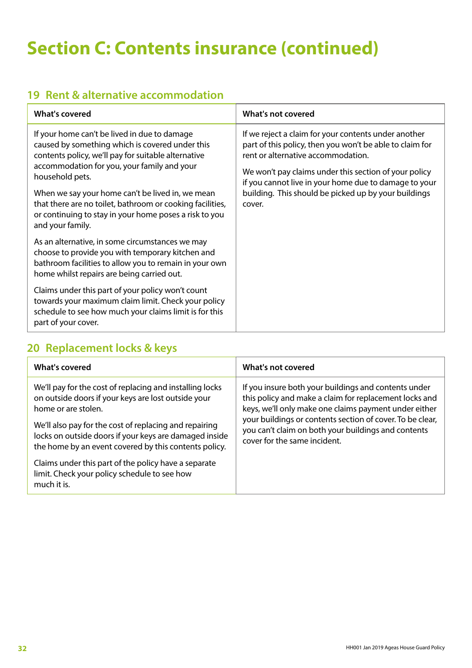### **19 Rent & alternative accommodation**

| <b>What's covered</b>                                                                                                                                                                                                                                                                                                                                                                                                   | <b>What's not covered</b>                                                                                                                                                                                                                                                                                                                  |
|-------------------------------------------------------------------------------------------------------------------------------------------------------------------------------------------------------------------------------------------------------------------------------------------------------------------------------------------------------------------------------------------------------------------------|--------------------------------------------------------------------------------------------------------------------------------------------------------------------------------------------------------------------------------------------------------------------------------------------------------------------------------------------|
| If your home can't be lived in due to damage<br>caused by something which is covered under this<br>contents policy, we'll pay for suitable alternative<br>accommodation for you, your family and your<br>household pets.<br>When we say your home can't be lived in, we mean<br>that there are no toilet, bathroom or cooking facilities,<br>or continuing to stay in your home poses a risk to you<br>and your family. | If we reject a claim for your contents under another<br>part of this policy, then you won't be able to claim for<br>rent or alternative accommodation.<br>We won't pay claims under this section of your policy<br>if you cannot live in your home due to damage to your<br>building. This should be picked up by your buildings<br>cover. |
| As an alternative, in some circumstances we may<br>choose to provide you with temporary kitchen and<br>bathroom facilities to allow you to remain in your own<br>home whilst repairs are being carried out.                                                                                                                                                                                                             |                                                                                                                                                                                                                                                                                                                                            |
| Claims under this part of your policy won't count<br>towards your maximum claim limit. Check your policy<br>schedule to see how much your claims limit is for this<br>part of your cover.                                                                                                                                                                                                                               |                                                                                                                                                                                                                                                                                                                                            |

### **20 Replacement locks & keys**

| What's covered                                                                                                                                                            | What's not covered                                                                                                                                                                                                                                                                                                          |
|---------------------------------------------------------------------------------------------------------------------------------------------------------------------------|-----------------------------------------------------------------------------------------------------------------------------------------------------------------------------------------------------------------------------------------------------------------------------------------------------------------------------|
| We'll pay for the cost of replacing and installing locks<br>on outside doors if your keys are lost outside your<br>home or are stolen.                                    | If you insure both your buildings and contents under<br>this policy and make a claim for replacement locks and<br>keys, we'll only make one claims payment under either<br>your buildings or contents section of cover. To be clear,<br>you can't claim on both your buildings and contents<br>cover for the same incident. |
| We'll also pay for the cost of replacing and repairing<br>locks on outside doors if your keys are damaged inside<br>the home by an event covered by this contents policy. |                                                                                                                                                                                                                                                                                                                             |
| Claims under this part of the policy have a separate<br>limit. Check your policy schedule to see how<br>much it is.                                                       |                                                                                                                                                                                                                                                                                                                             |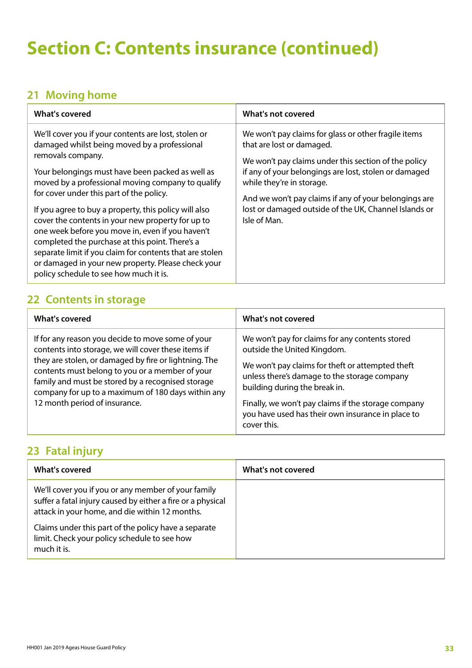### **21 Moving home**

| What's covered                                                                                                                                                                                                                                                                                                                                                                                                                                                                                                                                                                                                                                                  | What's not covered                                                                                                                                                                                                                                                                                                                                                |
|-----------------------------------------------------------------------------------------------------------------------------------------------------------------------------------------------------------------------------------------------------------------------------------------------------------------------------------------------------------------------------------------------------------------------------------------------------------------------------------------------------------------------------------------------------------------------------------------------------------------------------------------------------------------|-------------------------------------------------------------------------------------------------------------------------------------------------------------------------------------------------------------------------------------------------------------------------------------------------------------------------------------------------------------------|
| We'll cover you if your contents are lost, stolen or<br>damaged whilst being moved by a professional<br>removals company.<br>Your belongings must have been packed as well as<br>moved by a professional moving company to qualify<br>for cover under this part of the policy.<br>If you agree to buy a property, this policy will also<br>cover the contents in your new property for up to<br>one week before you move in, even if you haven't<br>completed the purchase at this point. There's a<br>separate limit if you claim for contents that are stolen<br>or damaged in your new property. Please check your<br>policy schedule to see how much it is. | We won't pay claims for glass or other fragile items<br>that are lost or damaged.<br>We won't pay claims under this section of the policy<br>if any of your belongings are lost, stolen or damaged<br>while they're in storage.<br>And we won't pay claims if any of your belongings are<br>lost or damaged outside of the UK, Channel Islands or<br>Isle of Man. |

### **22 Contents in storage**

| <b>What's covered</b>                                                                                                                                                                                                                                                                                                                                            | What's not covered                                                                                                                                                                                                                                                                                                                             |
|------------------------------------------------------------------------------------------------------------------------------------------------------------------------------------------------------------------------------------------------------------------------------------------------------------------------------------------------------------------|------------------------------------------------------------------------------------------------------------------------------------------------------------------------------------------------------------------------------------------------------------------------------------------------------------------------------------------------|
| If for any reason you decide to move some of your<br>contents into storage, we will cover these items if<br>they are stolen, or damaged by fire or lightning. The<br>contents must belong to you or a member of your<br>family and must be stored by a recognised storage<br>company for up to a maximum of 180 days within any<br>12 month period of insurance. | We won't pay for claims for any contents stored<br>outside the United Kingdom.<br>We won't pay claims for theft or attempted theft<br>unless there's damage to the storage company<br>building during the break in.<br>Finally, we won't pay claims if the storage company<br>you have used has their own insurance in place to<br>cover this. |

### **23 Fatal injury**

| What's covered                                                                                                                                                       | What's not covered |
|----------------------------------------------------------------------------------------------------------------------------------------------------------------------|--------------------|
| We'll cover you if you or any member of your family<br>suffer a fatal injury caused by either a fire or a physical<br>attack in your home, and die within 12 months. |                    |
| Claims under this part of the policy have a separate<br>limit. Check your policy schedule to see how<br>much it is.                                                  |                    |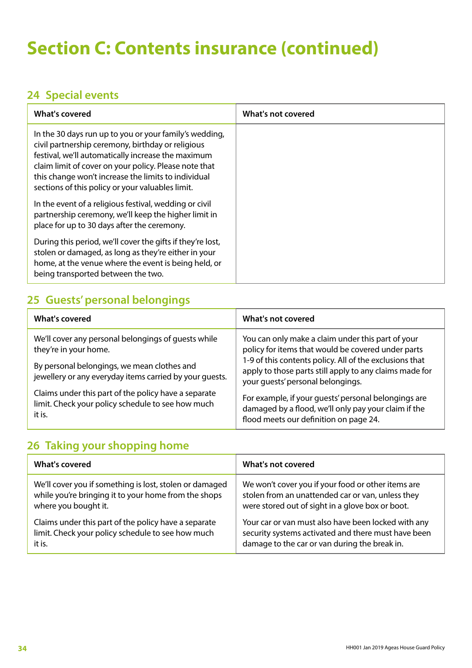### **24 Special events**

| What's covered                                                                                                                                                                                                                                                                                                                        | What's not covered |
|---------------------------------------------------------------------------------------------------------------------------------------------------------------------------------------------------------------------------------------------------------------------------------------------------------------------------------------|--------------------|
| In the 30 days run up to you or your family's wedding,<br>civil partnership ceremony, birthday or religious<br>festival, we'll automatically increase the maximum<br>claim limit of cover on your policy. Please note that<br>this change won't increase the limits to individual<br>sections of this policy or your valuables limit. |                    |
| In the event of a religious festival, wedding or civil<br>partnership ceremony, we'll keep the higher limit in<br>place for up to 30 days after the ceremony.                                                                                                                                                                         |                    |
| During this period, we'll cover the gifts if they're lost,<br>stolen or damaged, as long as they're either in your<br>home, at the venue where the event is being held, or<br>being transported between the two.                                                                                                                      |                    |

### **25 Guests' personal belongings**

| <b>What's covered</b>                                                                                  | What's not covered                                                                                                                                      |
|--------------------------------------------------------------------------------------------------------|---------------------------------------------------------------------------------------------------------------------------------------------------------|
| We'll cover any personal belongings of quests while                                                    | You can only make a claim under this part of your                                                                                                       |
| they're in your home.                                                                                  | policy for items that would be covered under parts                                                                                                      |
| By personal belongings, we mean clothes and<br>jewellery or any everyday items carried by your quests. | 1-9 of this contents policy. All of the exclusions that<br>apply to those parts still apply to any claims made for<br>your guests' personal belongings. |
| Claims under this part of the policy have a separate                                                   | For example, if your guests' personal belongings are                                                                                                    |
| limit. Check your policy schedule to see how much                                                      | damaged by a flood, we'll only pay your claim if the                                                                                                    |
| it is.                                                                                                 | flood meets our definition on page 24.                                                                                                                  |

### **26 Taking your shopping home**

| What's covered                                          | What's not covered                                  |
|---------------------------------------------------------|-----------------------------------------------------|
| We'll cover you if something is lost, stolen or damaged | We won't cover you if your food or other items are  |
| while you're bringing it to your home from the shops    | stolen from an unattended car or van, unless they   |
| where you bought it.                                    | were stored out of sight in a glove box or boot.    |
| Claims under this part of the policy have a separate    | Your car or van must also have been locked with any |
| limit. Check your policy schedule to see how much       | security systems activated and there must have been |
| it is.                                                  | damage to the car or van during the break in.       |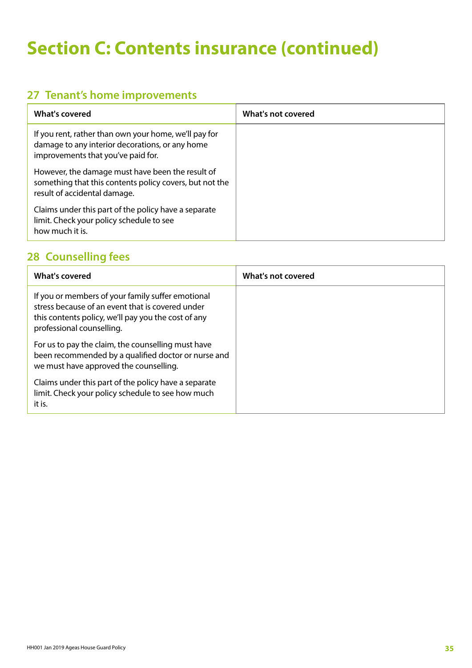### **27 Tenant's home improvements**

| What's covered                                                                                                                                 | What's not covered |
|------------------------------------------------------------------------------------------------------------------------------------------------|--------------------|
| If you rent, rather than own your home, we'll pay for<br>damage to any interior decorations, or any home<br>improvements that you've paid for. |                    |
| However, the damage must have been the result of<br>something that this contents policy covers, but not the<br>result of accidental damage.    |                    |
| Claims under this part of the policy have a separate<br>limit. Check your policy schedule to see<br>how much it is.                            |                    |

### **28 Counselling fees**

| What's covered                                                                                                                                                                            | What's not covered |
|-------------------------------------------------------------------------------------------------------------------------------------------------------------------------------------------|--------------------|
| If you or members of your family suffer emotional<br>stress because of an event that is covered under<br>this contents policy, we'll pay you the cost of any<br>professional counselling. |                    |
| For us to pay the claim, the counselling must have<br>been recommended by a qualified doctor or nurse and<br>we must have approved the counselling.                                       |                    |
| Claims under this part of the policy have a separate<br>limit. Check your policy schedule to see how much<br>it is.                                                                       |                    |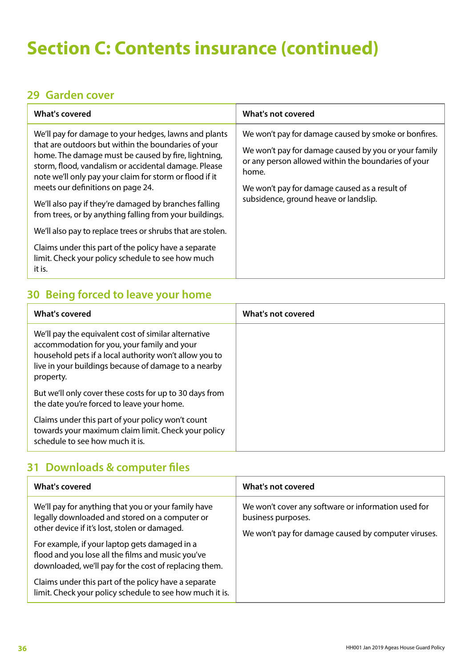### **29 Garden cover**

| What's covered                                                                                                                                                                                                                                                                                                                                                                                                                                                                                                                                                                                                                                | What's not covered                                                                                                                                                                                                                                            |
|-----------------------------------------------------------------------------------------------------------------------------------------------------------------------------------------------------------------------------------------------------------------------------------------------------------------------------------------------------------------------------------------------------------------------------------------------------------------------------------------------------------------------------------------------------------------------------------------------------------------------------------------------|---------------------------------------------------------------------------------------------------------------------------------------------------------------------------------------------------------------------------------------------------------------|
| We'll pay for damage to your hedges, lawns and plants<br>that are outdoors but within the boundaries of your<br>home. The damage must be caused by fire, lightning,<br>storm, flood, vandalism or accidental damage. Please<br>home.<br>note we'll only pay your claim for storm or flood if it<br>meets our definitions on page 24.<br>We'll also pay if they're damaged by branches falling<br>from trees, or by anything falling from your buildings.<br>We'll also pay to replace trees or shrubs that are stolen.<br>Claims under this part of the policy have a separate<br>limit. Check your policy schedule to see how much<br>it is. | We won't pay for damage caused by smoke or bonfires.<br>We won't pay for damage caused by you or your family<br>or any person allowed within the boundaries of your<br>We won't pay for damage caused as a result of<br>subsidence, ground heave or landslip. |

### **30 Being forced to leave your home**

| What's covered                                                                                                                                                                                                                     | What's not covered |
|------------------------------------------------------------------------------------------------------------------------------------------------------------------------------------------------------------------------------------|--------------------|
| We'll pay the equivalent cost of similar alternative<br>accommodation for you, your family and your<br>household pets if a local authority won't allow you to<br>live in your buildings because of damage to a nearby<br>property. |                    |
| But we'll only cover these costs for up to 30 days from<br>the date you're forced to leave your home.                                                                                                                              |                    |
| Claims under this part of your policy won't count<br>towards your maximum claim limit. Check your policy<br>schedule to see how much it is.                                                                                        |                    |

### **31 Downloads & computer files**

| What's covered                                                                                                                                                                                                                                                                                                                                                                                                                            | What's not covered                                                                                                               |
|-------------------------------------------------------------------------------------------------------------------------------------------------------------------------------------------------------------------------------------------------------------------------------------------------------------------------------------------------------------------------------------------------------------------------------------------|----------------------------------------------------------------------------------------------------------------------------------|
| We'll pay for anything that you or your family have<br>legally downloaded and stored on a computer or<br>other device if it's lost, stolen or damaged.<br>For example, if your laptop gets damaged in a<br>flood and you lose all the films and music you've<br>downloaded, we'll pay for the cost of replacing them.<br>Claims under this part of the policy have a separate<br>limit. Check your policy schedule to see how much it is. | We won't cover any software or information used for<br>business purposes.<br>We won't pay for damage caused by computer viruses. |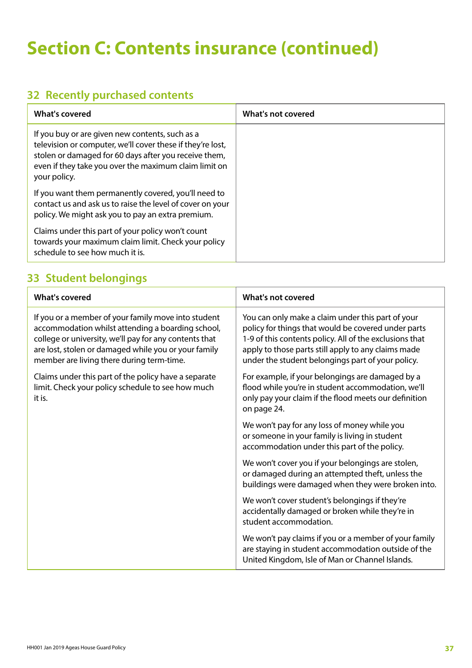### **32 Recently purchased contents**

| <b>What's covered</b>                                                                                                                                                                                                                           | What's not covered |
|-------------------------------------------------------------------------------------------------------------------------------------------------------------------------------------------------------------------------------------------------|--------------------|
| If you buy or are given new contents, such as a<br>television or computer, we'll cover these if they're lost,<br>stolen or damaged for 60 days after you receive them,<br>even if they take you over the maximum claim limit on<br>your policy. |                    |
| If you want them permanently covered, you'll need to<br>contact us and ask us to raise the level of cover on your<br>policy. We might ask you to pay an extra premium.                                                                          |                    |
| Claims under this part of your policy won't count<br>towards your maximum claim limit. Check your policy<br>schedule to see how much it is.                                                                                                     |                    |

### **33 Student belongings**

| <b>What's covered</b>                                                                                                                                                                                                                                                   | What's not covered                                                                                                                                                                                                                                                              |
|-------------------------------------------------------------------------------------------------------------------------------------------------------------------------------------------------------------------------------------------------------------------------|---------------------------------------------------------------------------------------------------------------------------------------------------------------------------------------------------------------------------------------------------------------------------------|
| If you or a member of your family move into student<br>accommodation whilst attending a boarding school,<br>college or university, we'll pay for any contents that<br>are lost, stolen or damaged while you or your family<br>member are living there during term-time. | You can only make a claim under this part of your<br>policy for things that would be covered under parts<br>1-9 of this contents policy. All of the exclusions that<br>apply to those parts still apply to any claims made<br>under the student belongings part of your policy. |
| Claims under this part of the policy have a separate<br>limit. Check your policy schedule to see how much<br>it is.                                                                                                                                                     | For example, if your belongings are damaged by a<br>flood while you're in student accommodation, we'll<br>only pay your claim if the flood meets our definition<br>on page 24.                                                                                                  |
|                                                                                                                                                                                                                                                                         | We won't pay for any loss of money while you<br>or someone in your family is living in student<br>accommodation under this part of the policy.                                                                                                                                  |
|                                                                                                                                                                                                                                                                         | We won't cover you if your belongings are stolen,<br>or damaged during an attempted theft, unless the<br>buildings were damaged when they were broken into.                                                                                                                     |
|                                                                                                                                                                                                                                                                         | We won't cover student's belongings if they're<br>accidentally damaged or broken while they're in<br>student accommodation.                                                                                                                                                     |
|                                                                                                                                                                                                                                                                         | We won't pay claims if you or a member of your family<br>are staying in student accommodation outside of the<br>United Kingdom, Isle of Man or Channel Islands.                                                                                                                 |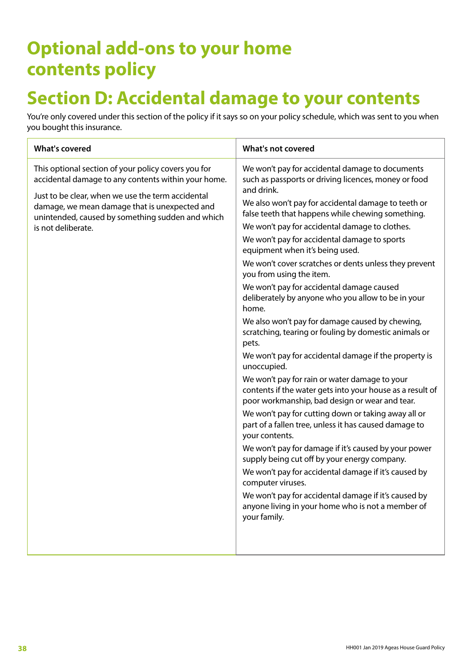## **Optional add-ons to your home contents policy**

## **Section D: Accidental damage to your contents**

You're only covered under this section of the policy if it says so on your policy schedule, which was sent to you when you bought this insurance.

| This optional section of your policy covers you for<br>We won't pay for accidental damage to documents<br>accidental damage to any contents within your home.<br>such as passports or driving licences, money or food<br>and drink.<br>Just to be clear, when we use the term accidental<br>We also won't pay for accidental damage to teeth or<br>damage, we mean damage that is unexpected and<br>false teeth that happens while chewing something.<br>unintended, caused by something sudden and which<br>We won't pay for accidental damage to clothes.<br>is not deliberate.<br>We won't pay for accidental damage to sports<br>equipment when it's being used.<br>We won't cover scratches or dents unless they prevent                                                                                                                                                                                             | <b>What's covered</b> | <b>What's not covered</b> |
|---------------------------------------------------------------------------------------------------------------------------------------------------------------------------------------------------------------------------------------------------------------------------------------------------------------------------------------------------------------------------------------------------------------------------------------------------------------------------------------------------------------------------------------------------------------------------------------------------------------------------------------------------------------------------------------------------------------------------------------------------------------------------------------------------------------------------------------------------------------------------------------------------------------------------|-----------------------|---------------------------|
| We won't pay for accidental damage caused<br>deliberately by anyone who you allow to be in your<br>home.<br>We also won't pay for damage caused by chewing,<br>scratching, tearing or fouling by domestic animals or<br>pets.<br>We won't pay for accidental damage if the property is<br>unoccupied.<br>We won't pay for rain or water damage to your<br>contents if the water gets into your house as a result of<br>poor workmanship, bad design or wear and tear.<br>We won't pay for cutting down or taking away all or<br>part of a fallen tree, unless it has caused damage to<br>your contents.<br>We won't pay for damage if it's caused by your power<br>supply being cut off by your energy company.<br>We won't pay for accidental damage if it's caused by<br>computer viruses.<br>We won't pay for accidental damage if it's caused by<br>anyone living in your home who is not a member of<br>your family. |                       | you from using the item.  |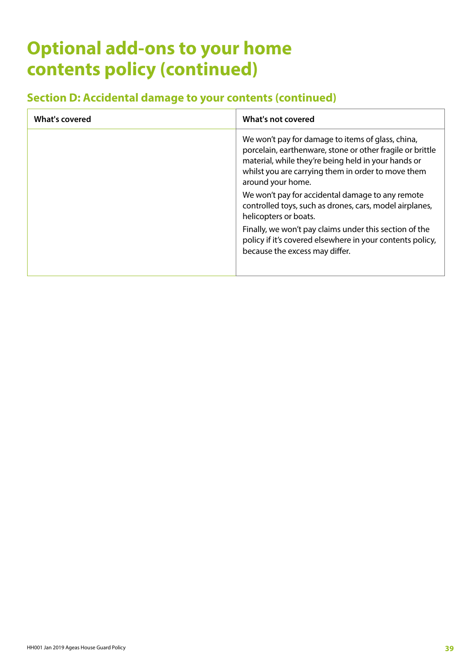### **Section D: Accidental damage to your contents (continued)**

| What's covered | What's not covered                                                                                                                                                                                                                               |
|----------------|--------------------------------------------------------------------------------------------------------------------------------------------------------------------------------------------------------------------------------------------------|
|                | We won't pay for damage to items of glass, china,<br>porcelain, earthenware, stone or other fragile or brittle<br>material, while they're being held in your hands or<br>whilst you are carrying them in order to move them<br>around your home. |
|                | We won't pay for accidental damage to any remote<br>controlled toys, such as drones, cars, model airplanes,<br>helicopters or boats.                                                                                                             |
|                | Finally, we won't pay claims under this section of the<br>policy if it's covered elsewhere in your contents policy,<br>because the excess may differ.                                                                                            |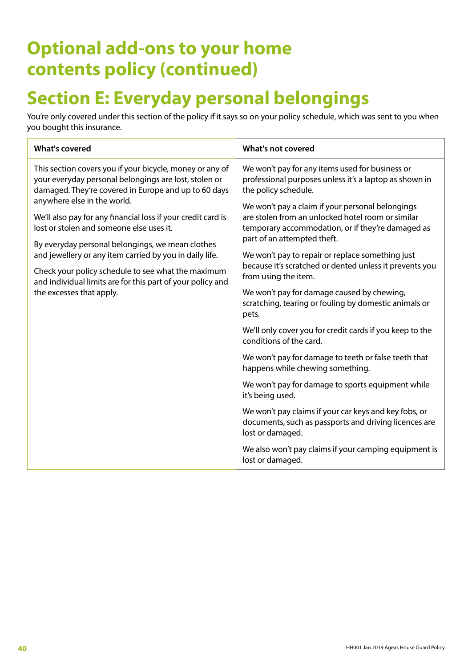## **Section E: Everyday personal belongings**

You're only covered under this section of the policy if it says so on your policy schedule, which was sent to you when you bought this insurance.

| <b>What's covered</b>                                                                                                                                                                                                                                                                                                | What's not covered                                                                                                                                                                        |
|----------------------------------------------------------------------------------------------------------------------------------------------------------------------------------------------------------------------------------------------------------------------------------------------------------------------|-------------------------------------------------------------------------------------------------------------------------------------------------------------------------------------------|
| This section covers you if your bicycle, money or any of<br>your everyday personal belongings are lost, stolen or<br>damaged. They're covered in Europe and up to 60 days<br>anywhere else in the world.<br>We'll also pay for any financial loss if your credit card is<br>lost or stolen and someone else uses it. | We won't pay for any items used for business or<br>professional purposes unless it's a laptop as shown in<br>the policy schedule.                                                         |
|                                                                                                                                                                                                                                                                                                                      | We won't pay a claim if your personal belongings<br>are stolen from an unlocked hotel room or similar<br>temporary accommodation, or if they're damaged as<br>part of an attempted theft. |
| By everyday personal belongings, we mean clothes<br>and jewellery or any item carried by you in daily life.<br>Check your policy schedule to see what the maximum                                                                                                                                                    | We won't pay to repair or replace something just<br>because it's scratched or dented unless it prevents you                                                                               |
| and individual limits are for this part of your policy and<br>the excesses that apply.                                                                                                                                                                                                                               | from using the item.<br>We won't pay for damage caused by chewing,                                                                                                                        |
|                                                                                                                                                                                                                                                                                                                      | scratching, tearing or fouling by domestic animals or<br>pets.                                                                                                                            |
|                                                                                                                                                                                                                                                                                                                      | We'll only cover you for credit cards if you keep to the<br>conditions of the card.                                                                                                       |
|                                                                                                                                                                                                                                                                                                                      | We won't pay for damage to teeth or false teeth that<br>happens while chewing something.                                                                                                  |
|                                                                                                                                                                                                                                                                                                                      | We won't pay for damage to sports equipment while<br>it's being used.                                                                                                                     |
|                                                                                                                                                                                                                                                                                                                      | We won't pay claims if your car keys and key fobs, or<br>documents, such as passports and driving licences are<br>lost or damaged.                                                        |
|                                                                                                                                                                                                                                                                                                                      | We also won't pay claims if your camping equipment is<br>lost or damaged.                                                                                                                 |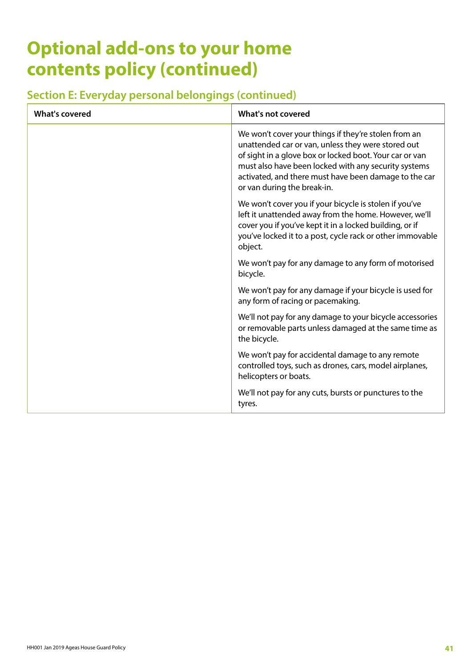### **Section E: Everyday personal belongings (continued)**

| <b>What's covered</b> | <b>What's not covered</b>                                                                                                                                                                                                                                                                                             |
|-----------------------|-----------------------------------------------------------------------------------------------------------------------------------------------------------------------------------------------------------------------------------------------------------------------------------------------------------------------|
|                       | We won't cover your things if they're stolen from an<br>unattended car or van, unless they were stored out<br>of sight in a glove box or locked boot. Your car or van<br>must also have been locked with any security systems<br>activated, and there must have been damage to the car<br>or van during the break-in. |
|                       | We won't cover you if your bicycle is stolen if you've<br>left it unattended away from the home. However, we'll<br>cover you if you've kept it in a locked building, or if<br>you've locked it to a post, cycle rack or other immovable<br>object.                                                                    |
|                       | We won't pay for any damage to any form of motorised<br>bicycle.                                                                                                                                                                                                                                                      |
|                       | We won't pay for any damage if your bicycle is used for<br>any form of racing or pacemaking.                                                                                                                                                                                                                          |
|                       | We'll not pay for any damage to your bicycle accessories<br>or removable parts unless damaged at the same time as<br>the bicycle.                                                                                                                                                                                     |
|                       | We won't pay for accidental damage to any remote<br>controlled toys, such as drones, cars, model airplanes,<br>helicopters or boats.                                                                                                                                                                                  |
|                       | We'll not pay for any cuts, bursts or punctures to the<br>tyres.                                                                                                                                                                                                                                                      |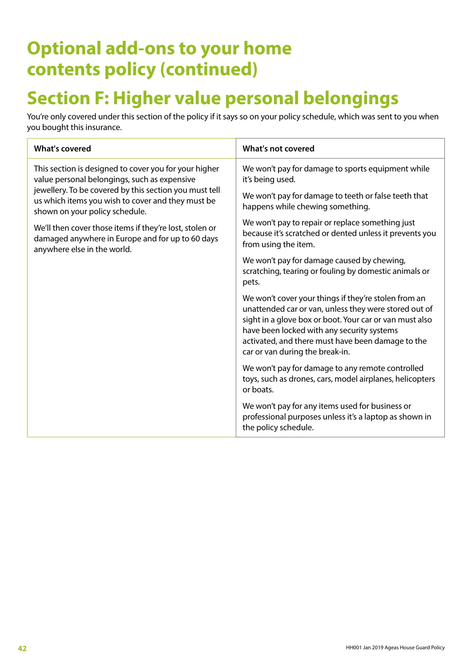## **Section F: Higher value personal belongings**

You're only covered under this section of the policy if it says so on your policy schedule, which was sent to you when you bought this insurance.

| <b>What's covered</b>                                                                                                                         | What's not covered                                                                                                                                                                                                                                                                                             |
|-----------------------------------------------------------------------------------------------------------------------------------------------|----------------------------------------------------------------------------------------------------------------------------------------------------------------------------------------------------------------------------------------------------------------------------------------------------------------|
| This section is designed to cover you for your higher<br>value personal belongings, such as expensive                                         | We won't pay for damage to sports equipment while<br>it's being used.                                                                                                                                                                                                                                          |
| jewellery. To be covered by this section you must tell<br>us which items you wish to cover and they must be<br>shown on your policy schedule. | We won't pay for damage to teeth or false teeth that<br>happens while chewing something.                                                                                                                                                                                                                       |
| We'll then cover those items if they're lost, stolen or<br>damaged anywhere in Europe and for up to 60 days<br>anywhere else in the world.    | We won't pay to repair or replace something just<br>because it's scratched or dented unless it prevents you<br>from using the item.                                                                                                                                                                            |
|                                                                                                                                               | We won't pay for damage caused by chewing,<br>scratching, tearing or fouling by domestic animals or<br>pets.                                                                                                                                                                                                   |
|                                                                                                                                               | We won't cover your things if they're stolen from an<br>unattended car or van, unless they were stored out of<br>sight in a glove box or boot. Your car or van must also<br>have been locked with any security systems<br>activated, and there must have been damage to the<br>car or van during the break-in. |
|                                                                                                                                               | We won't pay for damage to any remote controlled<br>toys, such as drones, cars, model airplanes, helicopters<br>or boats.                                                                                                                                                                                      |
|                                                                                                                                               | We won't pay for any items used for business or<br>professional purposes unless it's a laptop as shown in<br>the policy schedule.                                                                                                                                                                              |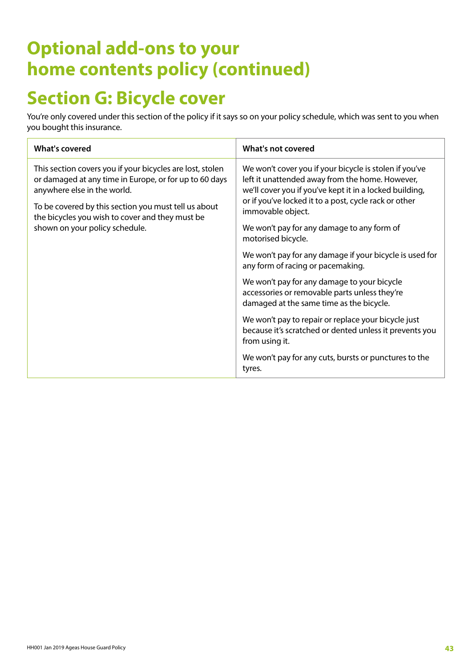## **Section G: Bicycle cover**

You're only covered under this section of the policy if it says so on your policy schedule, which was sent to you when you bought this insurance.

| <b>What's covered</b>                                                                                                                              | <b>What's not covered</b>                                                                                                                                            |
|----------------------------------------------------------------------------------------------------------------------------------------------------|----------------------------------------------------------------------------------------------------------------------------------------------------------------------|
| This section covers you if your bicycles are lost, stolen<br>or damaged at any time in Europe, or for up to 60 days<br>anywhere else in the world. | We won't cover you if your bicycle is stolen if you've<br>left it unattended away from the home. However,<br>we'll cover you if you've kept it in a locked building, |
| To be covered by this section you must tell us about<br>the bicycles you wish to cover and they must be                                            | or if you've locked it to a post, cycle rack or other<br>immovable object.                                                                                           |
| shown on your policy schedule.                                                                                                                     | We won't pay for any damage to any form of<br>motorised bicycle.                                                                                                     |
|                                                                                                                                                    | We won't pay for any damage if your bicycle is used for<br>any form of racing or pacemaking.                                                                         |
|                                                                                                                                                    | We won't pay for any damage to your bicycle<br>accessories or removable parts unless they're<br>damaged at the same time as the bicycle.                             |
|                                                                                                                                                    | We won't pay to repair or replace your bicycle just<br>because it's scratched or dented unless it prevents you<br>from using it.                                     |
|                                                                                                                                                    | We won't pay for any cuts, bursts or punctures to the<br>tyres.                                                                                                      |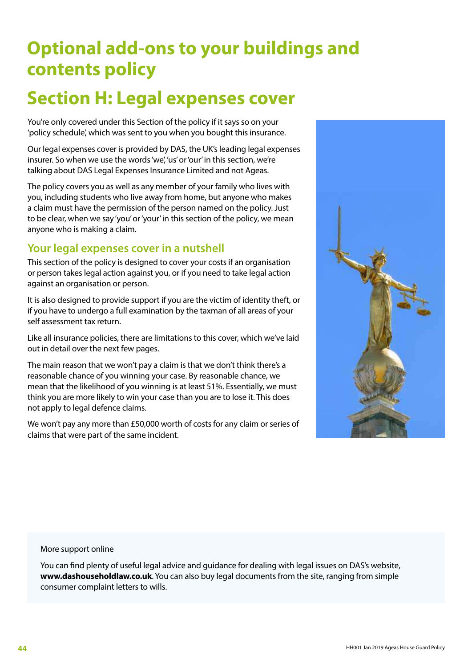## **Optional add-ons to your buildings and contents policy**

## **Section H: Legal expenses cover**

You're only covered under this Section of the policy if it says so on your 'policy schedule', which was sent to you when you bought this insurance.

Our legal expenses cover is provided by DAS, the UK's leading legal expenses insurer. So when we use the words 'we', 'us' or 'our' in this section, we're talking about DAS Legal Expenses Insurance Limited and not Ageas.

The policy covers you as well as any member of your family who lives with you, including students who live away from home, but anyone who makes a claim must have the permission of the person named on the policy. Just to be clear, when we say 'you' or 'your' in this section of the policy, we mean anyone who is making a claim.

#### **Your legal expenses cover in a nutshell**

This section of the policy is designed to cover your costs if an organisation or person takes legal action against you, or if you need to take legal action against an organisation or person.

It is also designed to provide support if you are the victim of identity theft, or if you have to undergo a full examination by the taxman of all areas of your self assessment tax return.

Like all insurance policies, there are limitations to this cover, which we've laid out in detail over the next few pages.

The main reason that we won't pay a claim is that we don't think there's a reasonable chance of you winning your case. By reasonable chance, we mean that the likelihood of you winning is at least 51%. Essentially, we must think you are more likely to win your case than you are to lose it. This does not apply to legal defence claims.

We won't pay any more than £50,000 worth of costs for any claim or series of claims that were part of the same incident.



#### More support online

You can find plenty of useful legal advice and guidance for dealing with legal issues on DAS's website, **www.dashouseholdlaw.co.uk**. You can also buy legal documents from the site, ranging from simple consumer complaint letters to wills.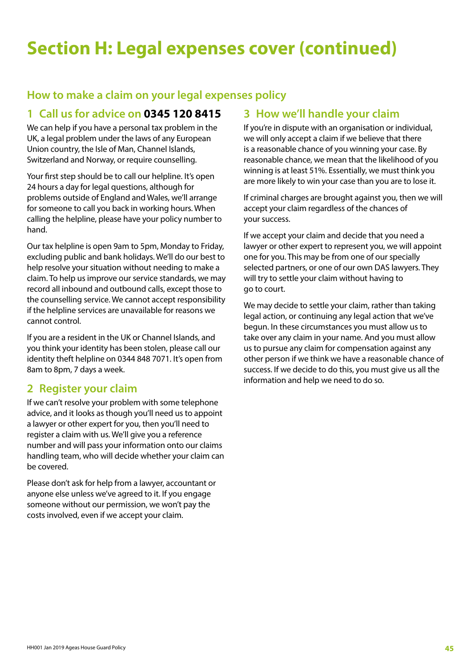#### **How to make a claim on your legal expenses policy**

#### **1 Call us for advice on 0345 120 8415**

We can help if you have a personal tax problem in the UK, a legal problem under the laws of any European Union country, the Isle of Man, Channel Islands, Switzerland and Norway, or require counselling.

Your first step should be to call our helpline. It's open 24 hours a day for legal questions, although for problems outside of England and Wales, we'll arrange for someone to call you back in working hours. When calling the helpline, please have your policy number to hand.

Our tax helpline is open 9am to 5pm, Monday to Friday, excluding public and bank holidays. We'll do our best to help resolve your situation without needing to make a claim. To help us improve our service standards, we may record all inbound and outbound calls, except those to the counselling service. We cannot accept responsibility if the helpline services are unavailable for reasons we cannot control.

If you are a resident in the UK or Channel Islands, and you think your identity has been stolen, please call our identity theft helpline on 0344 848 7071. It's open from 8am to 8pm, 7 days a week.

#### **2 Register your claim**

If we can't resolve your problem with some telephone advice, and it looks as though you'll need us to appoint a lawyer or other expert for you, then you'll need to register a claim with us. We'll give you a reference number and will pass your information onto our claims handling team, who will decide whether your claim can be covered.

Please don't ask for help from a lawyer, accountant or anyone else unless we've agreed to it. If you engage someone without our permission, we won't pay the costs involved, even if we accept your claim.

#### **3 How we'll handle your claim**

If you're in dispute with an organisation or individual, we will only accept a claim if we believe that there is a reasonable chance of you winning your case. By reasonable chance, we mean that the likelihood of you winning is at least 51%. Essentially, we must think you are more likely to win your case than you are to lose it.

If criminal charges are brought against you, then we will accept your claim regardless of the chances of your success.

If we accept your claim and decide that you need a lawyer or other expert to represent you, we will appoint one for you. This may be from one of our specially selected partners, or one of our own DAS lawyers. They will try to settle your claim without having to go to court.

We may decide to settle your claim, rather than taking legal action, or continuing any legal action that we've begun. In these circumstances you must allow us to take over any claim in your name. And you must allow us to pursue any claim for compensation against any other person if we think we have a reasonable chance of success. If we decide to do this, you must give us all the information and help we need to do so.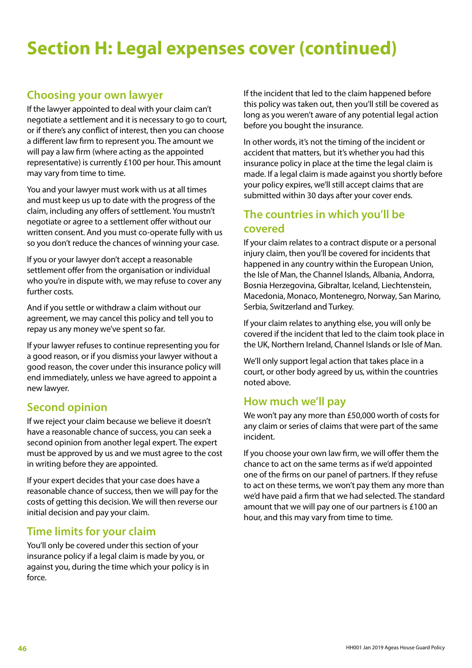### **Choosing your own lawyer**

If the lawyer appointed to deal with your claim can't negotiate a settlement and it is necessary to go to court, or if there's any conflict of interest, then you can choose a different law firm to represent you. The amount we will pay a law firm (where acting as the appointed representative) is currently £100 per hour. This amount may vary from time to time.

You and your lawyer must work with us at all times and must keep us up to date with the progress of the claim, including any offers of settlement. You mustn't negotiate or agree to a settlement offer without our written consent. And you must co-operate fully with us so you don't reduce the chances of winning your case.

If you or your lawyer don't accept a reasonable settlement offer from the organisation or individual who you're in dispute with, we may refuse to cover any further costs.

And if you settle or withdraw a claim without our agreement, we may cancel this policy and tell you to repay us any money we've spent so far.

If your lawyer refuses to continue representing you for a good reason, or if you dismiss your lawyer without a good reason, the cover under this insurance policy will end immediately, unless we have agreed to appoint a new lawyer.

#### **Second opinion**

If we reject your claim because we believe it doesn't have a reasonable chance of success, you can seek a second opinion from another legal expert. The expert must be approved by us and we must agree to the cost in writing before they are appointed.

If your expert decides that your case does have a reasonable chance of success, then we will pay for the costs of getting this decision. We will then reverse our initial decision and pay your claim.

#### **Time limits for your claim**

You'll only be covered under this section of your insurance policy if a legal claim is made by you, or against you, during the time which your policy is in force.

If the incident that led to the claim happened before this policy was taken out, then you'll still be covered as long as you weren't aware of any potential legal action before you bought the insurance.

In other words, it's not the timing of the incident or accident that matters, but it's whether you had this insurance policy in place at the time the legal claim is made. If a legal claim is made against you shortly before your policy expires, we'll still accept claims that are submitted within 30 days after your cover ends.

#### **The countries in which you'll be covered**

If your claim relates to a contract dispute or a personal injury claim, then you'll be covered for incidents that happened in any country within the European Union, the Isle of Man, the Channel Islands, Albania, Andorra, Bosnia Herzegovina, Gibraltar, Iceland, Liechtenstein, Macedonia, Monaco, Montenegro, Norway, San Marino, Serbia, Switzerland and Turkey.

If your claim relates to anything else, you will only be covered if the incident that led to the claim took place in the UK, Northern Ireland, Channel Islands or Isle of Man.

We'll only support legal action that takes place in a court, or other body agreed by us, within the countries noted above.

#### **How much we'll pay**

We won't pay any more than £50,000 worth of costs for any claim or series of claims that were part of the same incident.

If you choose your own law firm, we will offer them the chance to act on the same terms as if we'd appointed one of the firms on our panel of partners. If they refuse to act on these terms, we won't pay them any more than we'd have paid a firm that we had selected. The standard amount that we will pay one of our partners is £100 an hour, and this may vary from time to time.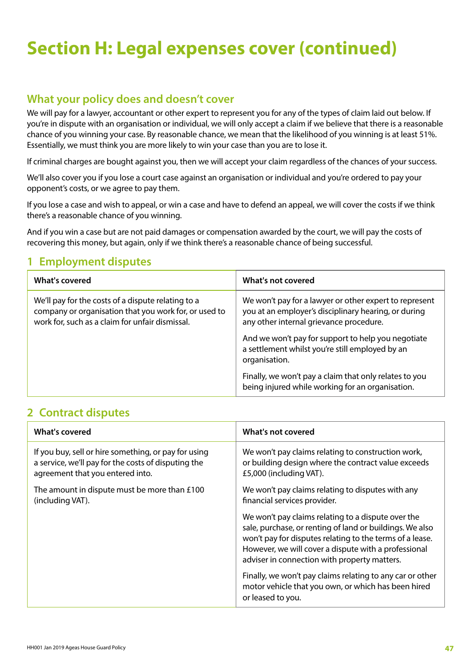#### **What your policy does and doesn't cover**

We will pay for a lawyer, accountant or other expert to represent you for any of the types of claim laid out below. If you're in dispute with an organisation or individual, we will only accept a claim if we believe that there is a reasonable chance of you winning your case. By reasonable chance, we mean that the likelihood of you winning is at least 51%. Essentially, we must think you are more likely to win your case than you are to lose it.

If criminal charges are bought against you, then we will accept your claim regardless of the chances of your success.

We'll also cover you if you lose a court case against an organisation or individual and you're ordered to pay your opponent's costs, or we agree to pay them.

If you lose a case and wish to appeal, or win a case and have to defend an appeal, we will cover the costs if we think there's a reasonable chance of you winning.

And if you win a case but are not paid damages or compensation awarded by the court, we will pay the costs of recovering this money, but again, only if we think there's a reasonable chance of being successful.

#### **1 Employment disputes**

| What's covered                                                                                                                                                 | What's not covered                                                                                                                                        |
|----------------------------------------------------------------------------------------------------------------------------------------------------------------|-----------------------------------------------------------------------------------------------------------------------------------------------------------|
| We'll pay for the costs of a dispute relating to a<br>company or organisation that you work for, or used to<br>work for, such as a claim for unfair dismissal. | We won't pay for a lawyer or other expert to represent<br>you at an employer's disciplinary hearing, or during<br>any other internal grievance procedure. |
|                                                                                                                                                                | And we won't pay for support to help you negotiate<br>a settlement whilst you're still employed by an<br>organisation.                                    |
|                                                                                                                                                                | Finally, we won't pay a claim that only relates to you<br>being injured while working for an organisation.                                                |

#### **2 Contract disputes**

| What's covered                                                                                                                                  | What's not covered                                                                                                                                                                                                                                                                 |
|-------------------------------------------------------------------------------------------------------------------------------------------------|------------------------------------------------------------------------------------------------------------------------------------------------------------------------------------------------------------------------------------------------------------------------------------|
| If you buy, sell or hire something, or pay for using<br>a service, we'll pay for the costs of disputing the<br>agreement that you entered into. | We won't pay claims relating to construction work,<br>or building design where the contract value exceeds<br>£5,000 (including VAT).                                                                                                                                               |
| The amount in dispute must be more than £100<br>(including VAT).                                                                                | We won't pay claims relating to disputes with any<br>financial services provider.                                                                                                                                                                                                  |
|                                                                                                                                                 | We won't pay claims relating to a dispute over the<br>sale, purchase, or renting of land or buildings. We also<br>won't pay for disputes relating to the terms of a lease.<br>However, we will cover a dispute with a professional<br>adviser in connection with property matters. |
|                                                                                                                                                 | Finally, we won't pay claims relating to any car or other<br>motor vehicle that you own, or which has been hired<br>or leased to you.                                                                                                                                              |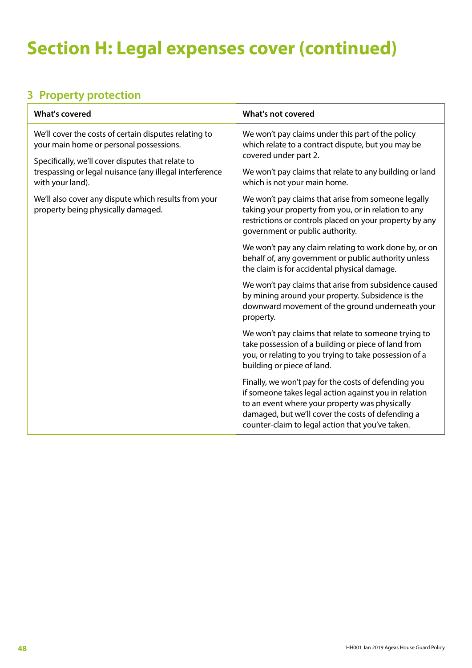### **3 Property protection**

| <b>What's covered</b>                                                                                                                                 | What's not covered                                                                                                                                                                                                                                                       |
|-------------------------------------------------------------------------------------------------------------------------------------------------------|--------------------------------------------------------------------------------------------------------------------------------------------------------------------------------------------------------------------------------------------------------------------------|
| We'll cover the costs of certain disputes relating to<br>your main home or personal possessions.<br>Specifically, we'll cover disputes that relate to | We won't pay claims under this part of the policy<br>which relate to a contract dispute, but you may be<br>covered under part 2.                                                                                                                                         |
| trespassing or legal nuisance (any illegal interference<br>with your land).                                                                           | We won't pay claims that relate to any building or land<br>which is not your main home.                                                                                                                                                                                  |
| We'll also cover any dispute which results from your<br>property being physically damaged.                                                            | We won't pay claims that arise from someone legally<br>taking your property from you, or in relation to any<br>restrictions or controls placed on your property by any<br>government or public authority.                                                                |
|                                                                                                                                                       | We won't pay any claim relating to work done by, or on<br>behalf of, any government or public authority unless<br>the claim is for accidental physical damage.                                                                                                           |
|                                                                                                                                                       | We won't pay claims that arise from subsidence caused<br>by mining around your property. Subsidence is the<br>downward movement of the ground underneath your<br>property.                                                                                               |
|                                                                                                                                                       | We won't pay claims that relate to someone trying to<br>take possession of a building or piece of land from<br>you, or relating to you trying to take possession of a<br>building or piece of land.                                                                      |
|                                                                                                                                                       | Finally, we won't pay for the costs of defending you<br>if someone takes legal action against you in relation<br>to an event where your property was physically<br>damaged, but we'll cover the costs of defending a<br>counter-claim to legal action that you've taken. |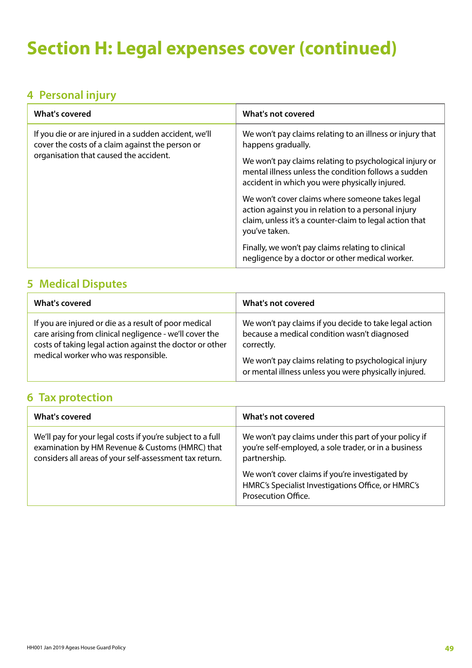### **4 Personal injury**

| What's covered                                                                                                                                      | What's not covered                                                                                                                                                                 |
|-----------------------------------------------------------------------------------------------------------------------------------------------------|------------------------------------------------------------------------------------------------------------------------------------------------------------------------------------|
| If you die or are injured in a sudden accident, we'll<br>cover the costs of a claim against the person or<br>organisation that caused the accident. | We won't pay claims relating to an illness or injury that<br>happens gradually.                                                                                                    |
|                                                                                                                                                     | We won't pay claims relating to psychological injury or<br>mental illness unless the condition follows a sudden<br>accident in which you were physically injured.                  |
|                                                                                                                                                     | We won't cover claims where someone takes legal<br>action against you in relation to a personal injury<br>claim, unless it's a counter-claim to legal action that<br>you've taken. |
|                                                                                                                                                     | Finally, we won't pay claims relating to clinical<br>negligence by a doctor or other medical worker.                                                                               |

### **5 Medical Disputes**

| What's covered                                                                                                                                                                                                      | What's not covered                                                                                                                                                                                                                    |
|---------------------------------------------------------------------------------------------------------------------------------------------------------------------------------------------------------------------|---------------------------------------------------------------------------------------------------------------------------------------------------------------------------------------------------------------------------------------|
| If you are injured or die as a result of poor medical<br>care arising from clinical negligence - we'll cover the<br>costs of taking legal action against the doctor or other<br>medical worker who was responsible. | We won't pay claims if you decide to take legal action<br>because a medical condition wasn't diagnosed<br>correctly.<br>We won't pay claims relating to psychological injury<br>or mental illness unless you were physically injured. |

### **6 Tax protection**

| What's covered                                                                                                                                                           | What's not covered                                                                                                             |
|--------------------------------------------------------------------------------------------------------------------------------------------------------------------------|--------------------------------------------------------------------------------------------------------------------------------|
| We'll pay for your legal costs if you're subject to a full<br>examination by HM Revenue & Customs (HMRC) that<br>considers all areas of your self-assessment tax return. | We won't pay claims under this part of your policy if<br>you're self-employed, a sole trader, or in a business<br>partnership. |
|                                                                                                                                                                          | We won't cover claims if you're investigated by<br>HMRC's Specialist Investigations Office, or HMRC's<br>Prosecution Office.   |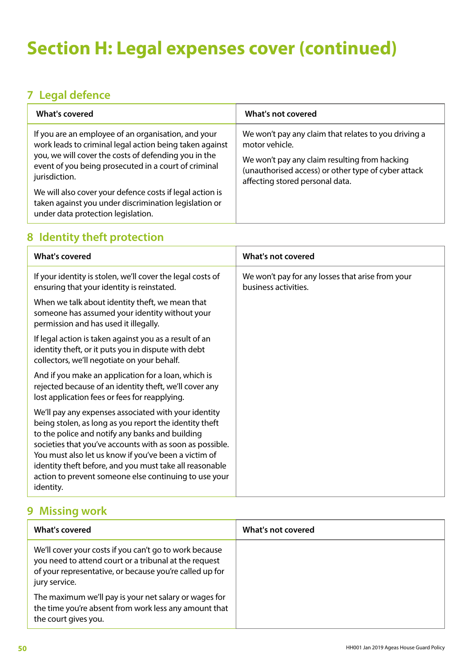### **7 Legal defence**

| What's covered                                                                                                                                                                                                                                                                                                                                                                                             | What's not covered                                                                                                                                                                                                |
|------------------------------------------------------------------------------------------------------------------------------------------------------------------------------------------------------------------------------------------------------------------------------------------------------------------------------------------------------------------------------------------------------------|-------------------------------------------------------------------------------------------------------------------------------------------------------------------------------------------------------------------|
| If you are an employee of an organisation, and your<br>work leads to criminal legal action being taken against<br>you, we will cover the costs of defending you in the<br>event of you being prosecuted in a court of criminal<br>jurisdiction.<br>We will also cover your defence costs if legal action is<br>taken against you under discrimination legislation or<br>under data protection legislation. | We won't pay any claim that relates to you driving a<br>motor vehicle.<br>We won't pay any claim resulting from hacking<br>(unauthorised access) or other type of cyber attack<br>affecting stored personal data. |

### **8 Identity theft protection**

| What's covered                                                                                                                                                                                                                                                                                                                                                                                                         | <b>What's not covered</b>                                                |
|------------------------------------------------------------------------------------------------------------------------------------------------------------------------------------------------------------------------------------------------------------------------------------------------------------------------------------------------------------------------------------------------------------------------|--------------------------------------------------------------------------|
| If your identity is stolen, we'll cover the legal costs of<br>ensuring that your identity is reinstated.                                                                                                                                                                                                                                                                                                               | We won't pay for any losses that arise from your<br>business activities. |
| When we talk about identity theft, we mean that<br>someone has assumed your identity without your<br>permission and has used it illegally.                                                                                                                                                                                                                                                                             |                                                                          |
| If legal action is taken against you as a result of an<br>identity theft, or it puts you in dispute with debt<br>collectors, we'll negotiate on your behalf.                                                                                                                                                                                                                                                           |                                                                          |
| And if you make an application for a loan, which is<br>rejected because of an identity theft, we'll cover any<br>lost application fees or fees for reapplying.                                                                                                                                                                                                                                                         |                                                                          |
| We'll pay any expenses associated with your identity<br>being stolen, as long as you report the identity theft<br>to the police and notify any banks and building<br>societies that you've accounts with as soon as possible.<br>You must also let us know if you've been a victim of<br>identity theft before, and you must take all reasonable<br>action to prevent someone else continuing to use your<br>identity. |                                                                          |

### **9 Missing work**

| What's covered                                                                                                                                                                              | What's not covered |
|---------------------------------------------------------------------------------------------------------------------------------------------------------------------------------------------|--------------------|
| We'll cover your costs if you can't go to work because<br>you need to attend court or a tribunal at the request<br>of your representative, or because you're called up for<br>jury service. |                    |
| The maximum we'll pay is your net salary or wages for<br>the time you're absent from work less any amount that<br>the court gives you.                                                      |                    |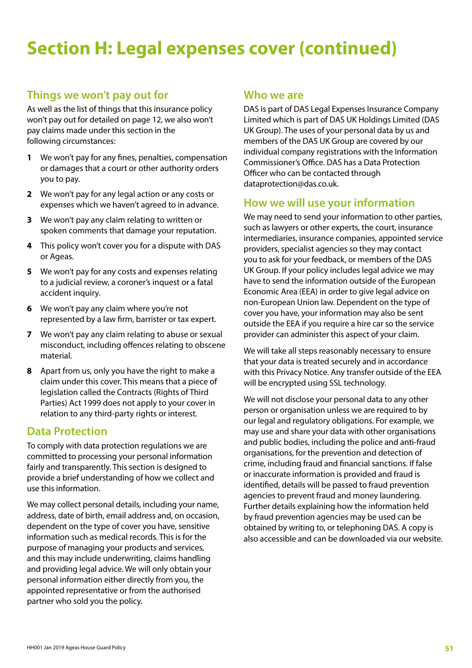#### **Things we won't pay out for**

As well as the list of things that this insurance policy won't pay out for detailed on page 12, we also won't pay claims made under this section in the following circumstances:

- **1** We won't pay for any fines, penalties, compensation or damages that a court or other authority orders you to pay.
- **2** We won't pay for any legal action or any costs or expenses which we haven't agreed to in advance.
- **3** We won't pay any claim relating to written or spoken comments that damage your reputation.
- **4** This policy won't cover you for a dispute with DAS or Ageas.
- **5** We won't pay for any costs and expenses relating to a judicial review, a coroner's inquest or a fatal accident inquiry.
- **6** We won't pay any claim where you're not represented by a law firm, barrister or tax expert.
- **7** We won't pay any claim relating to abuse or sexual misconduct, including ofences relating to obscene material.
- **8** Apart from us, only you have the right to make a claim under this cover. This means that a piece of legislation called the Contracts (Rights of Third Parties) Act 1999 does not apply to your cover in relation to any third-party rights or interest.

#### **Data Protection**

To comply with data protection regulations we are committed to processing your personal information fairly and transparently. This section is designed to provide a brief understanding of how we collect and use this information.

We may collect personal details, including your name, address, date of birth, email address and, on occasion, dependent on the type of cover you have, sensitive information such as medical records. This is for the purpose of managing your products and services, and this may include underwriting, claims handling and providing legal advice. We will only obtain your personal information either directly from you, the appointed representative or from the authorised partner who sold you the policy.

#### **Who we are**

DAS is part of DAS Legal Expenses Insurance Company Limited which is part of DAS UK Holdings Limited (DAS UK Group). The uses of your personal data by us and members of the DAS UK Group are covered by our individual company registrations with the Information Commissioner's Office. DAS has a Data Protection Officer who can be contacted through dataprotection@das.co.uk.

#### **How we will use your information**

We may need to send your information to other parties, such as lawyers or other experts, the court, insurance intermediaries, insurance companies, appointed service providers, specialist agencies so they may contact you to ask for your feedback, or members of the DAS UK Group. If your policy includes legal advice we may have to send the information outside of the European Economic Area (EEA) in order to give legal advice on non-European Union law. Dependent on the type of cover you have, your information may also be sent outside the EEA if you require a hire car so the service provider can administer this aspect of your claim.

We will take all steps reasonably necessary to ensure that your data is treated securely and in accordance with this Privacy Notice. Any transfer outside of the EEA will be encrypted using SSL technology.

We will not disclose your personal data to any other person or organisation unless we are required to by our legal and regulatory obligations. For example, we may use and share your data with other organisations and public bodies, including the police and anti-fraud organisations, for the prevention and detection of crime, including fraud and financial sanctions. If false or inaccurate information is provided and fraud is identified, details will be passed to fraud prevention agencies to prevent fraud and money laundering. Further details explaining how the information held by fraud prevention agencies may be used can be obtained by writing to, or telephoning DAS. A copy is also accessible and can be downloaded via our website.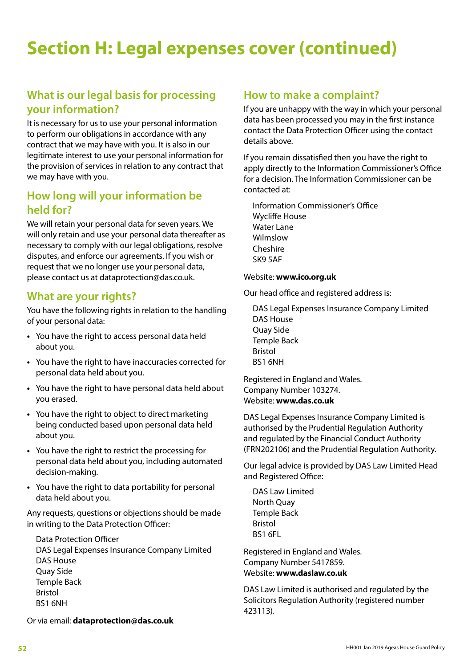#### **What is our legal basis for processing your information?**

It is necessary for us to use your personal information to perform our obligations in accordance with any contract that we may have with you. It is also in our legitimate interest to use your personal information for the provision of services in relation to any contract that we may have with you.

#### **How long will your information be held for?**

We will retain your personal data for seven years. We will only retain and use your personal data thereafter as necessary to comply with our legal obligations, resolve disputes, and enforce our agreements. If you wish or request that we no longer use your personal data, please contact us at dataprotection@das.co.uk.

#### **What are your rights?**

You have the following rights in relation to the handling of your personal data:

- You have the right to access personal data held about you.
- You have the right to have inaccuracies corrected for personal data held about you.
- You have the right to have personal data held about you erased.
- You have the right to object to direct marketing being conducted based upon personal data held about you.
- You have the right to restrict the processing for personal data held about you, including automated decision-making.
- You have the right to data portability for personal data held about you.

Any requests, questions or objections should be made in writing to the Data Protection Officer:

Data Protection Officer DAS Legal Expenses Insurance Company Limited DAS House Quay Side Temple Back Bristol BS1 6NH

Or via email: **dataprotection@das.co.uk** 

#### **How to make a complaint?**

If you are unhappy with the way in which your personal data has been processed you may in the first instance contact the Data Protection Officer using the contact details above.

If you remain dissatisfied then you have the right to apply directly to the Information Commissioner's Office for a decision. The Information Commissioner can be contacted at:

Information Commissioner's Office Wyclife House Water Lane Wilmslow Cheshire SK9 5AF

#### Website: **www.ico.org.uk**

Our head office and registered address is:

DAS Legal Expenses Insurance Company Limited DAS House Quay Side Temple Back Bristol BS1 6NH

Registered in England and Wales. Company Number 103274. Website: **www.das.co.uk**

DAS Legal Expenses Insurance Company Limited is authorised by the Prudential Regulation Authority and regulated by the Financial Conduct Authority (FRN202106) and the Prudential Regulation Authority.

Our legal advice is provided by DAS Law Limited Head and Registered Office:

DAS Law Limited North Quay Temple Back Bristol BS1 6FL

Registered in England and Wales. Company Number 5417859. Website: **www.daslaw.co.uk**

DAS Law Limited is authorised and regulated by the Solicitors Regulation Authority (registered number 423113).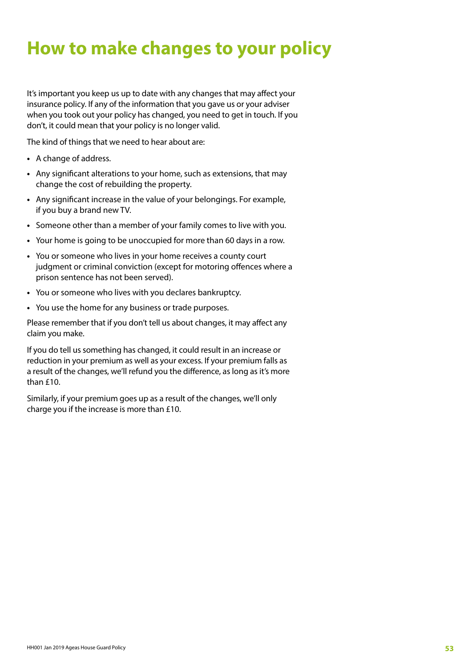### **How to make changes to your policy**

It's important you keep us up to date with any changes that may afect your insurance policy. If any of the information that you gave us or your adviser when you took out your policy has changed, you need to get in touch. If you don't, it could mean that your policy is no longer valid.

The kind of things that we need to hear about are:

- A change of address.
- Any significant alterations to your home, such as extensions, that may change the cost of rebuilding the property.
- Any significant increase in the value of your belongings. For example, if you buy a brand new TV.
- Someone other than a member of your family comes to live with you.
- Your home is going to be unoccupied for more than 60 days in a row.
- You or someone who lives in your home receives a county court judgment or criminal conviction (except for motoring offences where a prison sentence has not been served).
- You or someone who lives with you declares bankruptcy.
- You use the home for any business or trade purposes.

Please remember that if you don't tell us about changes, it may affect any claim you make.

If you do tell us something has changed, it could result in an increase or reduction in your premium as well as your excess. If your premium falls as a result of the changes, we'll refund you the diference, as long as it's more than £10.

Similarly, if your premium goes up as a result of the changes, we'll only charge you if the increase is more than £10.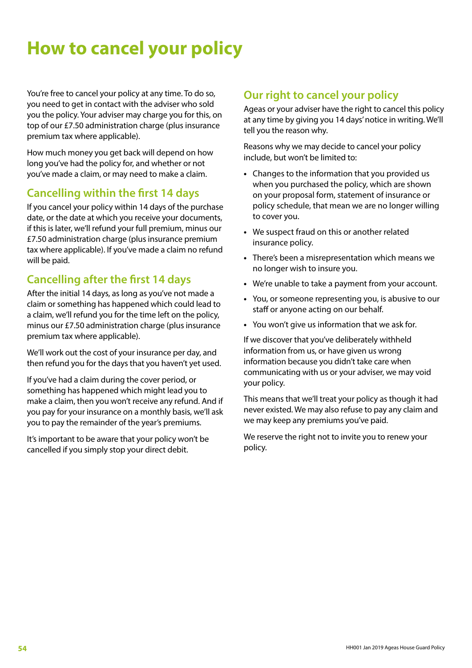## **How to cancel your policy**

You're free to cancel your policy at any time. To do so, you need to get in contact with the adviser who sold you the policy. Your adviser may charge you for this, on top of our £7.50 administration charge (plus insurance premium tax where applicable).

How much money you get back will depend on how long you've had the policy for, and whether or not you've made a claim, or may need to make a claim.

#### **Cancelling within the first 14 days**

If you cancel your policy within 14 days of the purchase date, or the date at which you receive your documents, if this is later, we'll refund your full premium, minus our £7.50 administration charge (plus insurance premium tax where applicable). If you've made a claim no refund will be paid.

#### **Cancelling after the first 14 days**

After the initial 14 days, as long as you've not made a claim or something has happened which could lead to a claim, we'll refund you for the time left on the policy, minus our £7.50 administration charge (plus insurance premium tax where applicable).

We'll work out the cost of your insurance per day, and then refund you for the days that you haven't yet used.

If you've had a claim during the cover period, or something has happened which might lead you to make a claim, then you won't receive any refund. And if you pay for your insurance on a monthly basis, we'll ask you to pay the remainder of the year's premiums.

It's important to be aware that your policy won't be cancelled if you simply stop your direct debit.

### **Our right to cancel your policy**

Ageas or your adviser have the right to cancel this policy at any time by giving you 14 days' notice in writing. We'll tell you the reason why.

Reasons why we may decide to cancel your policy include, but won't be limited to:

- Changes to the information that you provided us when you purchased the policy, which are shown on your proposal form, statement of insurance or policy schedule, that mean we are no longer willing to cover you.
- We suspect fraud on this or another related insurance policy.
- There's been a misrepresentation which means we no longer wish to insure you.
- We're unable to take a payment from your account.
- You, or someone representing you, is abusive to our staff or anyone acting on our behalf.
- You won't give us information that we ask for.

If we discover that you've deliberately withheld information from us, or have given us wrong information because you didn't take care when communicating with us or your adviser, we may void your policy.

This means that we'll treat your policy as though it had never existed. We may also refuse to pay any claim and we may keep any premiums you've paid.

We reserve the right not to invite you to renew your policy.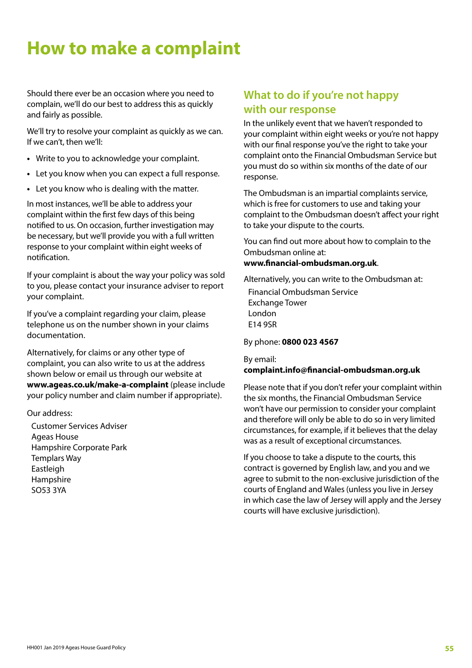### **How to make a complaint**

Should there ever be an occasion where you need to complain, we'll do our best to address this as quickly and fairly as possible.

We'll try to resolve your complaint as quickly as we can. If we can't, then we'll:

- Write to you to acknowledge your complaint.
- Let you know when you can expect a full response.
- Let you know who is dealing with the matter.

In most instances, we'll be able to address your complaint within the first few days of this being notified to us. On occasion, further investigation may be necessary, but we'll provide you with a full written response to your complaint within eight weeks of notification.

If your complaint is about the way your policy was sold to you, please contact your insurance adviser to report your complaint.

If you've a complaint regarding your claim, please telephone us on the number shown in your claims documentation.

Alternatively, for claims or any other type of complaint, you can also write to us at the address shown below or email us through our website at **www.ageas.co.uk/make-a-complaint** (please include your policy number and claim number if appropriate).

#### Our address:

Customer Services Adviser Ageas House Hampshire Corporate Park Templars Way Eastleigh Hampshire SO53 3YA

#### **What to do if you're not happy with our response**

In the unlikely event that we haven't responded to your complaint within eight weeks or you're not happy with our final response you've the right to take your complaint onto the Financial Ombudsman Service but you must do so within six months of the date of our response.

The Ombudsman is an impartial complaints service, which is free for customers to use and taking your complaint to the Ombudsman doesn't afect your right to take your dispute to the courts.

You can find out more about how to complain to the Ombudsman online at: **www.inancial-ombudsman.org.uk**.

Alternatively, you can write to the Ombudsman at:

Financial Ombudsman Service Exchange Tower London E14 9SR

By phone: **0800 023 4567**

#### By email: **complaint.info@inancial-ombudsman.org.uk**

Please note that if you don't refer your complaint within the six months, the Financial Ombudsman Service won't have our permission to consider your complaint and therefore will only be able to do so in very limited circumstances, for example, if it believes that the delay was as a result of exceptional circumstances.

If you choose to take a dispute to the courts, this contract is governed by English law, and you and we agree to submit to the non-exclusive jurisdiction of the courts of England and Wales (unless you live in Jersey in which case the law of Jersey will apply and the Jersey courts will have exclusive jurisdiction).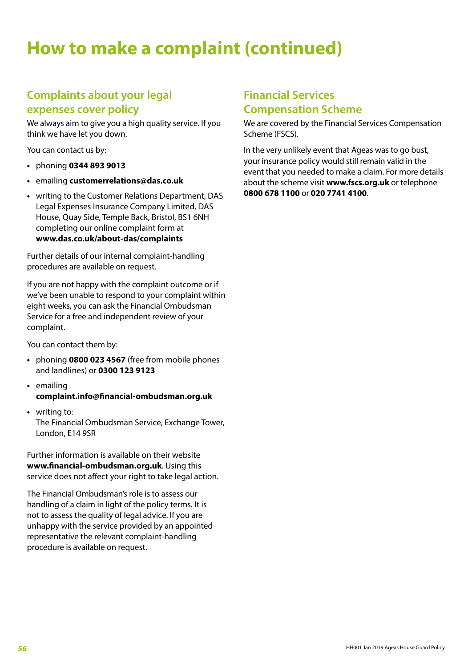## **How to make a complaint (continued)**

#### **Complaints about your legal expenses cover policy**

We always aim to give you a high quality service. If you think we have let you down.

You can contact us by:

- phoning **0344 893 9013**
- emailing **customerrelations@das.co.uk**
- writing to the Customer Relations Department, DAS Legal Expenses Insurance Company Limited, DAS House, Quay Side, Temple Back, Bristol, BS1 6NH completing our online complaint form at **www.das.co.uk/about-das/complaints**

Further details of our internal complaint-handling procedures are available on request.

If you are not happy with the complaint outcome or if we've been unable to respond to your complaint within eight weeks, you can ask the Financial Ombudsman Service for a free and independent review of your complaint.

You can contact them by:

- phoning **0800 023 4567** (free from mobile phones and landlines) or **0300 123 9123**
- emailing **complaint.info@inancial-ombudsman.org.uk**
- writing to: The Financial Ombudsman Service, Exchange Tower, London, E14 9SR

Further information is available on their website www.financial-ombudsman.org.uk. Using this service does not affect your right to take legal action.

The Financial Ombudsman's role is to assess our handling of a claim in light of the policy terms. It is not to assess the quality of legal advice. If you are unhappy with the service provided by an appointed representative the relevant complaint-handling procedure is available on request.

#### **Financial Services Compensation Scheme**

We are covered by the Financial Services Compensation Scheme (FSCS).

In the very unlikely event that Ageas was to go bust, your insurance policy would still remain valid in the event that you needed to make a claim. For more details about the scheme visit **www.fscs.org.uk** or telephone **0800 678 1100** or **020 7741 4100**.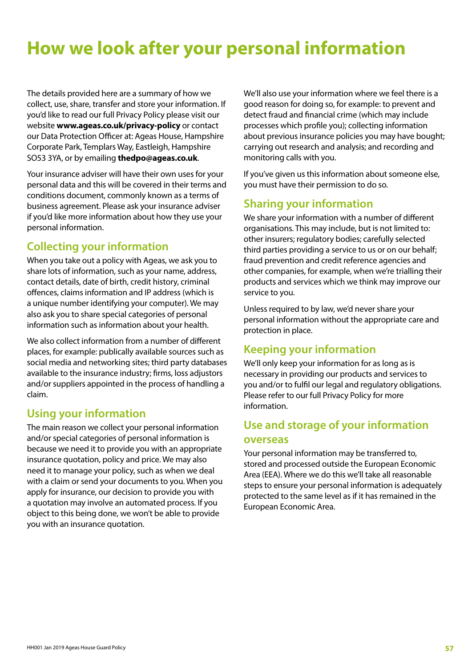## **How we look after your personal information**

The details provided here are a summary of how we collect, use, share, transfer and store your information. If you'd like to read our full Privacy Policy please visit our website **www.ageas.co.uk/privacy-policy** or contact our Data Protection Officer at: Ageas House, Hampshire Corporate Park, Templars Way, Eastleigh, Hampshire SO53 3YA, or by emailing **thedpo@ageas.co.uk**.

Your insurance adviser will have their own uses for your personal data and this will be covered in their terms and conditions document, commonly known as a terms of business agreement. Please ask your insurance adviser if you'd like more information about how they use your personal information.

#### **Collecting your information**

When you take out a policy with Ageas, we ask you to share lots of information, such as your name, address, contact details, date of birth, credit history, criminal ofences, claims information and IP address (which is a unique number identifying your computer). We may also ask you to share special categories of personal information such as information about your health.

We also collect information from a number of diferent places, for example: publically available sources such as social media and networking sites; third party databases available to the insurance industry; firms, loss adjustors and/or suppliers appointed in the process of handling a claim.

#### **Using your information**

The main reason we collect your personal information and/or special categories of personal information is because we need it to provide you with an appropriate insurance quotation, policy and price. We may also need it to manage your policy, such as when we deal with a claim or send your documents to you. When you apply for insurance, our decision to provide you with a quotation may involve an automated process. If you object to this being done, we won't be able to provide you with an insurance quotation.

We'll also use your information where we feel there is a good reason for doing so, for example: to prevent and detect fraud and financial crime (which may include processes which profile you); collecting information about previous insurance policies you may have bought; carrying out research and analysis; and recording and monitoring calls with you.

If you've given us this information about someone else, you must have their permission to do so.

#### **Sharing your information**

We share your information with a number of diferent organisations. This may include, but is not limited to: other insurers; regulatory bodies; carefully selected third parties providing a service to us or on our behalf; fraud prevention and credit reference agencies and other companies, for example, when we're trialling their products and services which we think may improve our service to you.

Unless required to by law, we'd never share your personal information without the appropriate care and protection in place.

#### **Keeping your information**

We'll only keep your information for as long as is necessary in providing our products and services to you and/or to fulfil our legal and regulatory obligations. Please refer to our full Privacy Policy for more information.

#### **Use and storage of your information overseas**

Your personal information may be transferred to, stored and processed outside the European Economic Area (EEA). Where we do this we'll take all reasonable steps to ensure your personal information is adequately protected to the same level as if it has remained in the European Economic Area.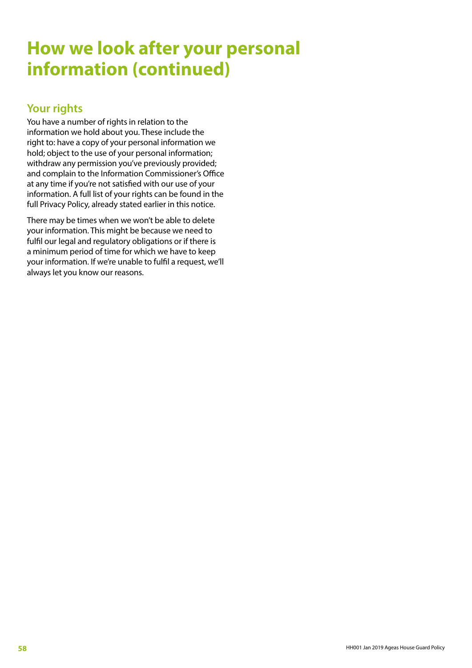## **How we look after your personal information (continued)**

#### **Your rights**

You have a number of rights in relation to the information we hold about you. These include the right to: have a copy of your personal information we hold; object to the use of your personal information; withdraw any permission you've previously provided; and complain to the Information Commissioner's Office at any time if you're not satisfied with our use of your information. A full list of your rights can be found in the full Privacy Policy, already stated earlier in this notice.

There may be times when we won't be able to delete your information. This might be because we need to fulfil our legal and regulatory obligations or if there is a minimum period of time for which we have to keep your information. If we're unable to fulfil a request, we'll always let you know our reasons.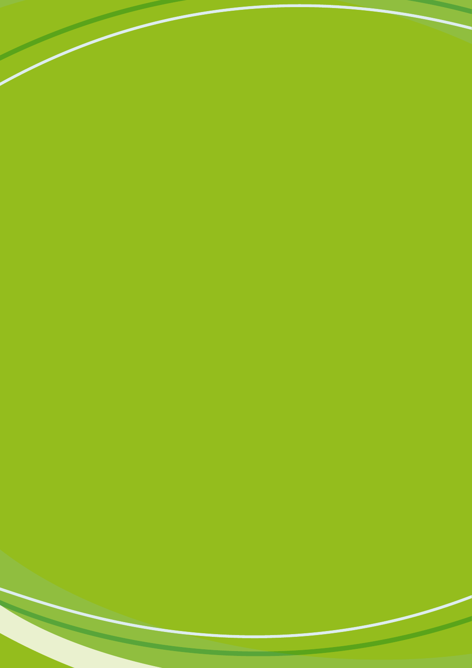